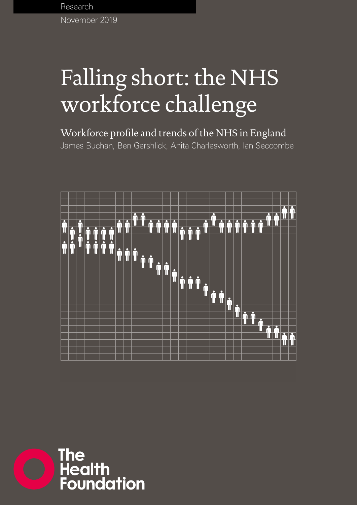November 2019 Research

# Falling short: the NHS workforce challenge

## Workforce profile and trends of the NHS in England

James Buchan, Ben Gershlick, Anita Charlesworth, Ian Seccombe



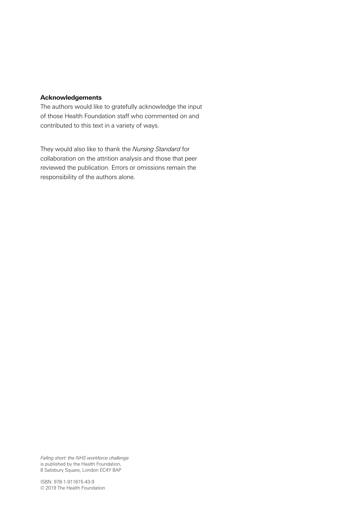#### **Acknowledgements**

The authors would like to gratefully acknowledge the input of those Health Foundation staff who commented on and contributed to this text in a variety of ways.

They would also like to thank the *Nursing Standard* for collaboration on the attrition analysis and those that peer reviewed the publication. Errors or omissions remain the responsibility of the authors alone.

*Falling short: the NHS workforce challenge* is published by the Health Foundation, 8 Salisbury Square, London EC4Y 8AP

ISBN: 978-1-911615-43-9 © 2019 The Health Foundation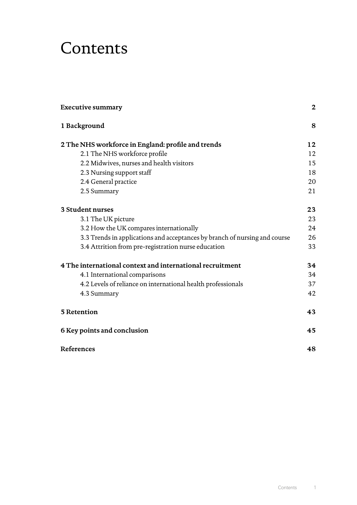## **Contents**

| <b>Executive summary</b>                                                   | $\mathbf 2$ |
|----------------------------------------------------------------------------|-------------|
| 1 Background                                                               | 8           |
| 2 The NHS workforce in England: profile and trends                         | 12          |
| 2.1 The NHS workforce profile                                              | 12          |
| 2.2 Midwives, nurses and health visitors                                   | 15          |
| 2.3 Nursing support staff                                                  | 18          |
| 2.4 General practice                                                       | 20          |
| 2.5 Summary                                                                | 21          |
| 3 Student nurses                                                           | 23          |
| 3.1 The UK picture                                                         | 23          |
| 3.2 How the UK compares internationally                                    | 24          |
| 3.3 Trends in applications and acceptances by branch of nursing and course | 26          |
| 3.4 Attrition from pre-registration nurse education                        | 33          |
| 4 The international context and international recruitment                  | 34          |
| 4.1 International comparisons                                              | 34          |
| 4.2 Levels of reliance on international health professionals               | 37          |
| 4.3 Summary                                                                | 42          |
| 5 Retention                                                                | 43          |
| 6 Key points and conclusion                                                | 45          |
| References                                                                 | 48          |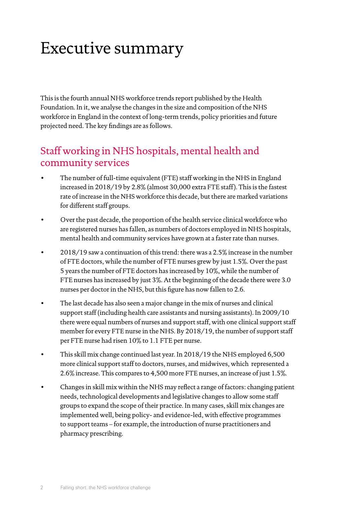## <span id="page-3-0"></span>Executive summary

This is the fourth annual NHS workforce trends report published by the Health Foundation. In it, we analyse the changes in the size and composition of the NHS workforce in England in the context of long-term trends, policy priorities and future projected need. The key findings are as follows.

### Staff working in NHS hospitals, mental health and community services

- The number of full-time equivalent (FTE) staff working in the NHS in England increased in 2018/19 by 2.8% (almost 30,000 extra FTE staff). This is the fastest rate of increase in the NHS workforce this decade, but there are marked variations for different staff groups.
- Over the past decade, the proportion of the health service clinical workforce who are registered nurses has fallen, as numbers of doctors employed in NHS hospitals, mental health and community services have grown at a faster rate than nurses.
- 2018/19 saw a continuation of this trend: there was a 2.5% increase in the number of FTE doctors, while the number of FTE nurses grew by just 1.5%. Over the past 5 years the number of FTE doctors has increased by 10%, while the number of FTE nurses has increased by just 3%. At the beginning of the decade there were 3.0 nurses per doctor in the NHS, but this figure has now fallen to 2.6.
- The last decade has also seen a major change in the mix of nurses and clinical support staff (including health care assistants and nursing assistants). In 2009/10 there were equal numbers of nurses and support staff, with one clinical support staff member for every FTE nurse in the NHS. By 2018/19, the number of support staff per FTE nurse had risen 10% to 1.1 FTE per nurse.
- This skill mix change continued last year. In 2018/19 the NHS employed 6,500 more clinical support staff to doctors, nurses, and midwives, which represented a 2.6% increase. This compares to 4,500 more FTE nurses, an increase of just 1.5%.
- Changes in skill mix within the NHS may reflect a range of factors: changing patient needs, technological developments and legislative changes to allow some staff groups to expand the scope of their practice. In many cases, skill mix changes are implemented well, being policy- and evidence-led, with effective programmes to support teams – for example, the introduction of nurse practitioners and pharmacy prescribing.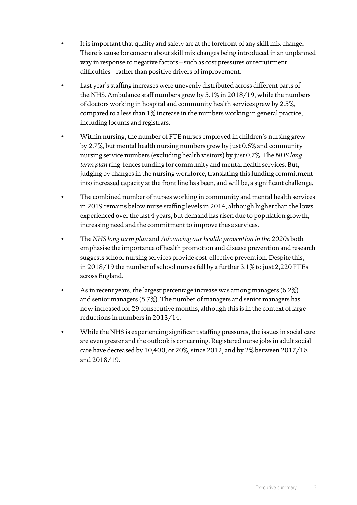- It is important that quality and safety are at the forefront of any skill mix change. There is cause for concern about skill mix changes being introduced in an unplanned way in response to negative factors – such as cost pressures or recruitment difficulties – rather than positive drivers of improvement.
- Last year's staffing increases were unevenly distributed across different parts of the NHS. Ambulance staff numbers grew by 5.1% in 2018/19, while the numbers of doctors working in hospital and community health services grew by 2.5%, compared to a less than 1% increase in the numbers working in general practice, including locums and registrars.
- Within nursing, the number of FTE nurses employed in children's nursing grew by 2.7%, but mental health nursing numbers grew by just 0.6% and community nursing service numbers (excluding health visitors) by just 0.7%. The *NHS long term plan* ring-fences funding for community and mental health services. But, judging by changes in the nursing workforce, translating this funding commitment into increased capacity at the front line has been, and will be, a significant challenge.
- The combined number of nurses working in community and mental health services in 2019 remains below nurse staffing levels in 2014, although higher than the lows experienced over the last 4 years, but demand has risen due to population growth, increasing need and the commitment to improve these services.
- The *NHS long term plan* and *Advancing our health: prevention in the 2020s* both emphasise the importance of health promotion and disease prevention and research suggests school nursing services provide cost-effective prevention. Despite this, in 2018/19 the number of school nurses fell by a further 3.1% to just 2,220 FTEs across England.
- As in recent years, the largest percentage increase was among managers (6.2%) and senior managers (5.7%). The number of managers and senior managers has now increased for 29 consecutive months, although this is in the context of large reductions in numbers in 2013/14.
- While the NHS is experiencing significant staffing pressures, the issues in social care are even greater and the outlook is concerning. Registered nurse jobs in adult social care have decreased by 10,400, or 20%, since 2012, and by 2% between 2017/18 and 2018/19.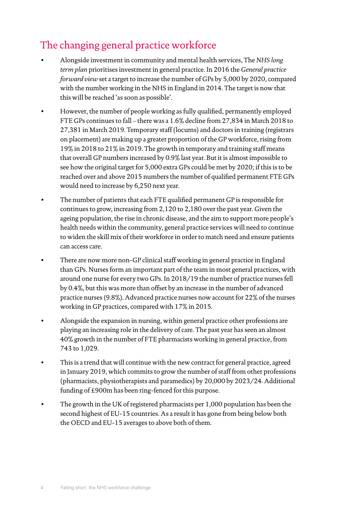## The changing general practice workforce

- Alongside investment in community and mental health services, The *NHS long term plan* prioritises investment in general practice. In 2016 the *General practice forward view* set a target to increase the number of GPs by 5,000 by 2020, compared with the number working in the NHS in England in 2014. The target is now that this will be reached 'as soon as possible'.
- However, the number of people working as fully qualified, permanently employed FTE GPs continues to fall – there was a 1.6% decline from 27,834 in March 2018 to 27,381 in March 2019. Temporary staff (locums) and doctors in training (registrars on placement) are making up a greater proportion of the GP workforce, rising from 19% in 2018 to 21% in 2019. The growth in temporary and training staff means that overall GP numbers increased by 0.9% last year. But it is almost impossible to see how the original target for 5,000 extra GPs could be met by 2020; if this is to be reached over and above 2015 numbers the number of qualified permanent FTE GPs would need to increase by 6,250 next year.
- The number of patients that each FTE qualified permanent GP is responsible for continues to grow, increasing from 2,120 to 2,180 over the past year. Given the ageing population, the rise in chronic disease, and the aim to support more people's health needs within the community, general practice services will need to continue to widen the skill mix of their workforce in order to match need and ensure patients can access care.
- There are now more non-GP clinical staff working in general practice in England than GPs. Nurses form an important part of the team in most general practices, with around one nurse for every two GPs. In 2018/19 the number of practice nurses fell by 0.4%, but this was more than offset by an increase in the number of advanced practice nurses (9.8%). Advanced practice nurses now account for 22% of the nurses working in GP practices, compared with 17% in 2015.
- Alongside the expansion in nursing, within general practice other professions are playing an increasing role in the delivery of care. The past year has seen an almost 40% growth in the number of FTE pharmacists working in general practice, from 743 to 1,029.
- This is a trend that will continue with the new contract for general practice, agreed in January 2019, which commits to grow the number of staff from other professions (pharmacists, physiotherapists and paramedics) by 20,000 by 2023/24. Additional funding of £900m has been ring-fenced for this purpose.
- The growth in the UK of registered pharmacists per 1,000 population has been the second highest of EU-15 countries. As a result it has gone from being below both the OECD and EU-15 averages to above both of them.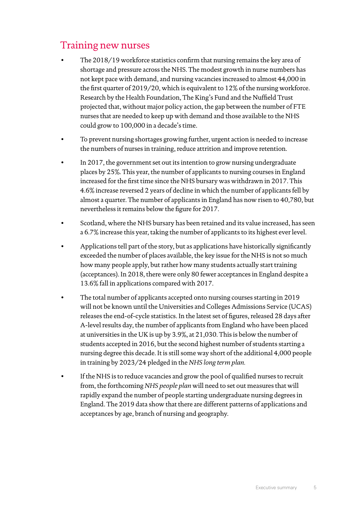## Training new nurses

- The 2018/19 workforce statistics confirm that nursing remains the key area of shortage and pressure across the NHS. The modest growth in nurse numbers has not kept pace with demand, and nursing vacancies increased to almost 44,000 in the first quarter of 2019/20, which is equivalent to 12% of the nursing workforce. Research by the Health Foundation, The King's Fund and the Nuffield Trust projected that, without major policy action, the gap between the number of FTE nurses that are needed to keep up with demand and those available to the NHS could grow to 100,000 in a decade's time.
- To prevent nursing shortages growing further, urgent action is needed to increase the numbers of nurses in training, reduce attrition and improve retention.
- In 2017, the government set out its intention to grow nursing undergraduate places by 25%. This year, the number of applicants to nursing courses in England increased for the first time since the NHS bursary was withdrawn in 2017. This 4.6% increase reversed 2 years of decline in which the number of applicants fell by almost a quarter. The number of applicants in England has now risen to 40,780, but nevertheless it remains below the figure for 2017.
- Scotland, where the NHS bursary has been retained and its value increased, has seen a 6.7% increase this year, taking the number of applicants to its highest ever level.
- Applications tell part of the story, but as applications have historically significantly exceeded the number of places available, the key issue for the NHS is not so much how many people apply, but rather how many students actually start training (acceptances). In 2018, there were only 80 fewer acceptances in England despite a 13.6% fall in applications compared with 2017.
- The total number of applicants accepted onto nursing courses starting in 2019 will not be known until the Universities and Colleges Admissions Service (UCAS) releases the end-of-cycle statistics. In the latest set of figures, released 28 days after A-level results day, the number of applicants from England who have been placed at universities in the UK is up by 3.9%, at 21,030. This is below the number of students accepted in 2016, but the second highest number of students starting a nursing degree this decade. It is still some way short of the additional 4,000 people in training by 2023/24 pledged in the *NHS long term plan.*
- If the NHS is to reduce vacancies and grow the pool of qualified nurses to recruit from, the forthcoming *NHS people plan* will need to set out measures that will rapidly expand the number of people starting undergraduate nursing degrees in England. The 2019 data show that there are different patterns of applications and acceptances by age, branch of nursing and geography.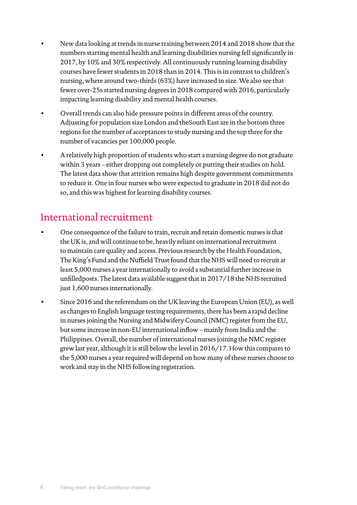- New data looking at trends in nurse training between 2014 and 2018 show that the numbers starting mental health and learning disabilities nursing fell significantly in 2017, by 10% and 30% respectively. All continuously running learning disability courses have fewer students in 2018 than in 2014. This is in contrast to children's nursing, where around two-thirds (63%) have increased in size. We also see that fewer over-25s started nursing degrees in 2018 compared with 2016, particularly impacting learning disability and mental health courses.
- Overall trends can also hide pressure points in different areas of the country. Adjusting for population size London and theSouth East are in the bottom three regions for the number of acceptances to study nursing and the top three for the number of vacancies per 100,000 people.
- A relatively high proportion of students who start a nursing degree do not graduate within 3 years – either dropping out completely or putting their studies on hold. The latest data show that attrition remains high despite government commitments to reduce it. One in four nurses who were expected to graduate in 2018 did not do so, and this was highest for learning disability courses.

### International recruitment

- One consequence of the failure to train, recruit and retain domestic nurses is that the UK is, and will continue to be, heavily reliant on international recruitment to maintain care quality and access. Previous research by the Health Foundation, The King's Fund and the Nuffield Trust found that the NHS will need to recruit at least 5,000 nurses a year internationally to avoid a substantial further increase in unfilledposts. The latest data available suggest that in 2017/18 the NHS recruited just 1,600 nurses internationally.
- Since 2016 and the referendum on the UK leaving the European Union (EU), as well as changes to English language testing requirements, there has been a rapid decline in nurses joining the Nursing and Midwifery Council (NMC) register from the EU, but some increase in non-EU international inflow – mainly from India and the Philippines. Overall, the number of international nurses joining the NMC register grew last year, although it is still below the level in 2016/17. How this compares to the 5,000 nurses a year required will depend on how many of these nurses choose to work and stay in the NHS following registration.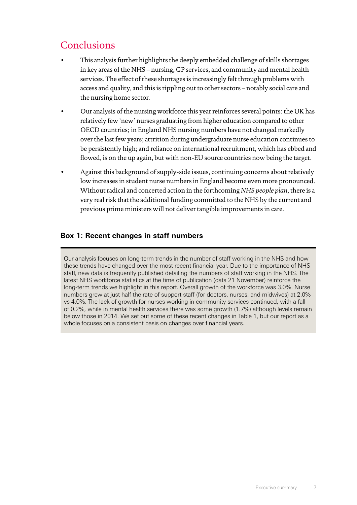## **Conclusions**

- This analysis further highlights the deeply embedded challenge of skills shortages in key areas of the NHS – nursing, GP services, and community and mental health services. The effect of these shortages is increasingly felt through problems with access and quality, and this is rippling out to other sectors – notably social care and the nursing home sector.
- Our analysis of the nursing workforce this year reinforces several points: the UK has relatively few 'new' nurses graduating from higher education compared to other OECD countries; in England NHS nursing numbers have not changed markedly over the last few years; attrition during undergraduate nurse education continues to be persistently high; and reliance on international recruitment, which has ebbed and flowed, is on the up again, but with non-EU source countries now being the target.
- Against this background of supply-side issues, continuing concerns about relatively low increases in student nurse numbers in England become even more pronounced. Without radical and concerted action in the forthcoming *NHS people plan*, there is a very real risk that the additional funding committed to the NHS by the current and previous prime ministers will not deliver tangible improvements in care.

#### **Box 1: Recent changes in staff numbers**

Our analysis focuses on long-term trends in the number of staff working in the NHS and how these trends have changed over the most recent financial year. Due to the importance of NHS staff, new data is frequently published detailing the numbers of staff working in the NHS. The latest NHS workforce statistics at the time of publication (data 21 November) reinforce the long-term trends we highlight in this report. Overall growth of the workforce was 3.0%. Nurse numbers grew at just half the rate of support staff (for doctors, nurses, and midwives) at 2.0% vs 4.0%. The lack of growth for nurses working in community services continued, with a fall of 0.2%, while in mental health services there was some growth (1.7%) although levels remain below those in 2014. We set out some of these recent changes in Table 1, but our report as a whole focuses on a consistent basis on changes over financial years.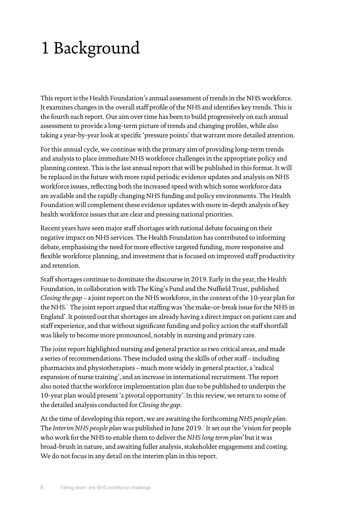## <span id="page-9-0"></span>1 Background

This report is the Health Foundation's annual assessment of trends in the NHS workforce. It examines changes in the overall staff profile of the NHS and identifies key trends. This is the fourth such report. Our aim over time has been to build progressively on each annual assessment to provide a long-term picture of trends and changing profiles, while also taking a year-by-year look at specific 'pressure points' that warrant more detailed attention.

For this annual cycle, we continue with the primary aim of providing long-term trends and analysis to place immediate NHS workforce challenges in the appropriate policy and planning context. This is the last annual report that will be published in this format. It will be replaced in the future with more rapid periodic evidence updates and analysis on NHS workforce issues, reflecting both the increased speed with which some workforce data are available and the rapidly changing NHS funding and policy environments. The Health Foundation will complement these evidence updates with more in-depth analysis of key health workforce issues that are clear and pressing national priorities.

Recent years have seen major staff shortages with national debate focusing on their negative impact on NHS services. The Health Foundation has contributed to informing debate, emphasising the need for more effective targeted funding, more responsive and flexible workforce planning, and investment that is focused on improved staff productivity and retention.

Staff shortages continue to dominate the discourse in 2019. Early in the year, the Health Foundation, in collaboration with The King's Fund and the Nuffield Trust, published *Closing the gap* – a joint report on the NHS workforce, in the context of the 10-year plan for the NHS.<sup>[1](#page-49-1)</sup> The joint report argued that staffing was 'the make-or-break issue for the NHS in England'. It pointed out that shortages are already having a direct impact on patient care and staff experience, and that without significant funding and policy action the staff shortfall was likely to become more pronounced, notably in nursing and primary care.

The joint report highlighted nursing and general practice as two critical areas, and made a series of recommendations. These included using the skills of other staff – including pharmacists and physiotherapists – much more widely in general practice, a 'radical expansion of nurse training', and an increase in international recruitment. The report also noted that the workforce implementation plan due to be published to underpin the 10-year plan would present 'a pivotal opportunity'. In this review, we return to some of the detailed analysis conducted for *Closing the gap*.

At the time of developing this report, we are awaiting the forthcoming *NHS people plan*. The *Interim NHS people plan* was published in June [2](#page-49-2)019.<sup>2</sup> It set out the 'vision for people who work for the NHS to enable them to deliver the *NHS long term plan*'but it was broad-brush in nature, and awaiting fuller analysis, stakeholder engagement and costing. We do not focus in any detail on the interim plan in this report.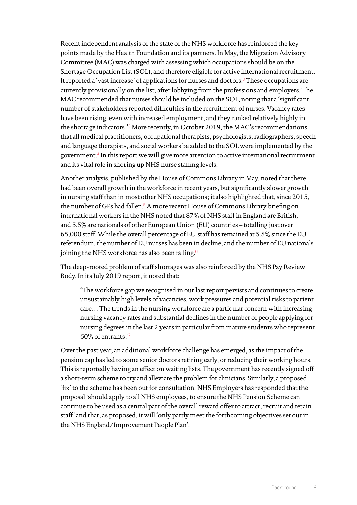Recent independent analysis of the state of the NHS workforce has reinforced the key points made by the Health Foundation and its partners. In May, the Migration Advisory Committee (MAC) was charged with assessing which occupations should be on the Shortage Occupation List (SOL), and therefore eligible for active international recruitment. It reported a 'vast increase' of applications for nurses and doctors.<sup>[3](#page-49-3)</sup> These occupations are currently provisionally on the list, after lobbying from the professions and employers. The MAC recommended that nurses should be included on the SOL, noting that a 'significant number of stakeholders reported difficulties in the recruitment of nurses. Vacancy rates have been rising, even with increased employment, and they ranked relatively highly in the shortage indicators.'[3](#page-49-3) More recently, in October 2019, the MAC's recommendations that all medical practitioners, occupational therapists, psychologists, radiographers, speech and language therapists, and social workers be added to the SOL were implemented by the government.[4](#page-49-4) In this report we will give more attention to active international recruitment and its vital role in shoring up NHS nurse staffing levels.

Another analysis, published by the House of Commons Library in May, noted that there had been overall growth in the workforce in recent years, but significantly slower growth in nursing staff than in most other NHS occupations; it also highlighted that, since 2015, the number of GPs had fallen.<sup>[5](#page-49-5)</sup> A more recent House of Commons Library briefing on international workers in the NHS noted that 87% of NHS staff in England are British, and 5.5% are nationals of other European Union (EU) countries – totalling just over 65,000 staff. While the overall percentage of EU staff has remained at 5.5% since the EU referendum, the number of EU nurses has been in decline, and the number of EU nationals joining the NHS workforce has also been falling.<sup>[6](#page-49-6)</sup>

The deep-rooted problem of staff shortages was also reinforced by the NHS Pay Review Body. In its July 2019 report, it noted that:

'The workforce gap we recognised in our last report persists and continues to create unsustainably high levels of vacancies, work pressures and potential risks to patient care… The trends in the nursing workforce are a particular concern with increasing nursing vacancy rates and substantial declines in the number of people applying for nursing degrees in the last 2 years in particular from mature students who represent 60% of entrants.'[7](#page-49-7)

Over the past year, an additional workforce challenge has emerged, as the impact of the pension cap has led to some senior doctors retiring early, or reducing their working hours. This is reportedly having an effect on waiting lists. The government has recently signed off a short-term scheme to try and alleviate the problem for clinicians. Similarly, a proposed 'fix' to the scheme has been out for consultation. NHS Employers has responded that the proposal 'should apply to all NHS employees, to ensure the NHS Pension Scheme can continue to be used as a central part of the overall reward offer to attract, recruit and retain staff' and that, as proposed, it will 'only partly meet the forthcoming objectives set out in the NHS England/Improvement People Plan'.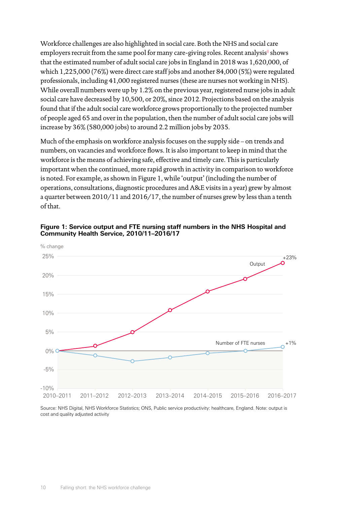Workforce challenges are also highlighted in social care. Both the NHS and social care employers recruit from the same pool for many care-giving roles. Recent analysis $\mathrm{s}$  shows that the estimated number of adult social care jobs in England in 2018 was 1,620,000, of which 1,225,000 (76%) were direct care staff jobs and another 84,000 (5%) were regulated professionals, including 41,000 registered nurses (these are nurses not working in NHS). While overall numbers were up by 1.2% on the previous year, registered nurse jobs in adult social care have decreased by 10,500, or 20%, since 2012. Projections based on the analysis found that if the adult social care workforce grows proportionally to the projected number of people aged 65 and over in the population, then the number of adult social care jobs will increase by 36% (580,000 jobs) to around 2.2 million jobs by 2035.

Much of the emphasis on workforce analysis focuses on the supply side – on trends and numbers, on vacancies and workforce flows. It is also important to keep in mind that the workforce is the means of achieving safe, effective and timely care. This is particularly important when the continued, more rapid growth in activity in comparison to workforce is noted. For example, as shown in Figure 1, while 'output' (including the number of operations, consultations, diagnostic procedures and A&E visits in a year) grew by almost a quarter between 2010/11 and 2016/17, the number of nurses grew by less than a tenth of that.



**Figure 1: Service output and FTE nursing staff numbers in the NHS Hospital and Community Health Service, 2010/11–2016/17**

Source: NHS Digital, NHS Workforce Statistics; ONS, Public service productivity: healthcare, England. Note: output is cost and quality adjusted activity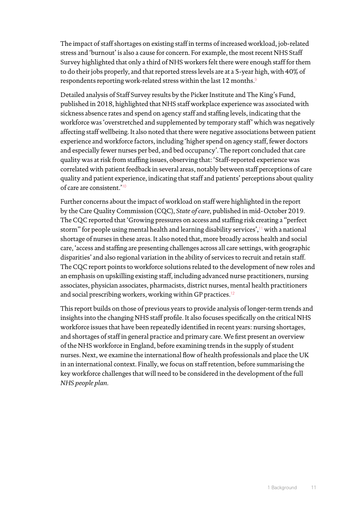The impact of staff shortages on existing staff in terms of increased workload, job-related stress and 'burnout' is also a cause for concern. For example, the most recent NHS Staff Survey highlighted that only a third of NHS workers felt there were enough staff for them to do their jobs properly, and that reported stress levels are at a 5-year high, with 40% of respondents reporting work-related stress within the last 12 months.[9](#page-49-9)

Detailed analysis of Staff Survey results by the Picker Institute and The King's Fund, published in 2018, highlighted that NHS staff workplace experience was associated with sickness absence rates and spend on agency staff and staffing levels, indicating that the workforce was 'overstretched and supplemented by temporary staff' which was negatively affecting staff wellbeing. It also noted that there were negative associations between patient experience and workforce factors, including 'higher spend on agency staff, fewer doctors and especially fewer nurses per bed, and bed occupancy'. The report concluded that care quality was at risk from staffing issues, observing that: 'Staff-reported experience was correlated with patient feedback in several areas, notably between staff perceptions of care quality and patient experience, indicating that staff and patients' perceptions about quality of care are consistent.'[10](#page-49-10)

Further concerns about the impact of workload on staff were highlighted in the report by the Care Quality Commission (CQC), *State of care*, published in mid-October 2019. The CQC reported that 'Growing pressures on access and staffing risk creating a "perfect storm" for people using mental health and learning disability services',<sup>[11](#page-49-11)</sup> with a national shortage of nurses in these areas. It also noted that, more broadly across health and social care, 'access and staffing are presenting challenges across all care settings, with geographic disparities' and also regional variation in the ability of services to recruit and retain staff. The CQC report points to workforce solutions related to the development of new roles and an emphasis on upskilling existing staff, including advanced nurse practitioners, nursing associates, physician associates, pharmacists, district nurses, mental health practitioners and social prescribing workers, working within GP practices.<sup>[12](#page-49-12)</sup>

This report builds on those of previous years to provide analysis of longer-term trends and insights into the changing NHS staff profile. It also focuses specifically on the critical NHS workforce issues that have been repeatedly identified in recent years: nursing shortages, and shortages of staff in general practice and primary care. We first present an overview of the NHS workforce in England, before examining trends in the supply of student nurses. Next, we examine the international flow of health professionals and place the UK in an international context. Finally, we focus on staff retention, before summarising the key workforce challenges that will need to be considered in the development of the full *NHS people plan*.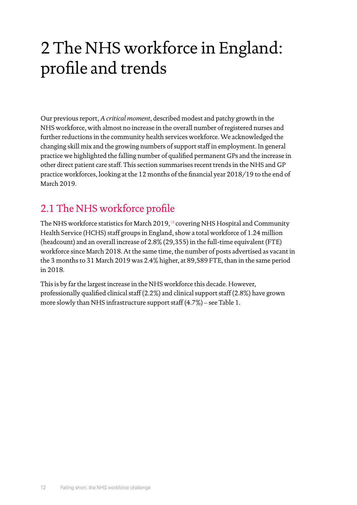## <span id="page-13-0"></span>2 The NHS workforce in England: profile and trends

Our previous report, *A critical moment*, described modest and patchy growth in the NHS workforce, with almost no increase in the overall number of registered nurses and further reductions in the community health services workforce. We acknowledged the changing skill mix and the growing numbers of support staff in employment. In general practice we highlighted the falling number of qualified permanent GPs and the increase in other direct patient care staff. This section summarises recent trends in the NHS and GP practice workforces, looking at the 12 months of the financial year 2018/19 to the end of March 2019.

## 2.1 The NHS workforce profile

The NHS workforce statistics for March 2019,<sup>[13](#page-49-13)</sup> covering NHS Hospital and Community Health Service (HCHS) staff groups in England, show a total workforce of 1.24 million (headcount) and an overall increase of 2.8% (29,355) in the full-time equivalent (FTE) workforce since March 2018. At the same time, the number of posts advertised as vacant in the 3 months to 31 March 2019 was 2.4% higher, at 89,589 FTE, than in the same period in 2018.

This is by far the largest increase in the NHS workforce this decade. However, professionally qualified clinical staff (2.2%) and clinical support staff (2.8%) have grown more slowly than NHS infrastructure support staff (4.7%) – see Table 1.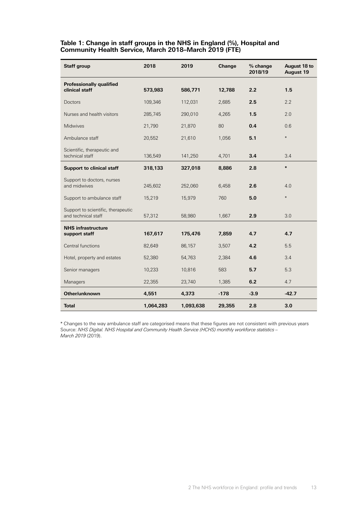#### **Table 1: Change in staff groups in the NHS in England (%), Hospital and Community Health Service, March 2018–March 2019 (FTE)**

| <b>Staff group</b>                                        | 2018      | 2019      | Change | % change<br>2018/19 | August 18 to<br><b>August 19</b> |  |
|-----------------------------------------------------------|-----------|-----------|--------|---------------------|----------------------------------|--|
| <b>Professionally qualified</b><br>clinical staff         | 573,983   | 586,771   | 12,788 | 2.2                 | 1.5                              |  |
| Doctors                                                   | 109,346   | 112,031   | 2,685  | 2.5                 | 2.2                              |  |
| Nurses and health visitors                                | 285,745   | 290,010   | 4,265  | 1.5                 | 2.0                              |  |
| Midwives                                                  | 21,790    | 21,870    | 80     | 0.4                 | 0.6                              |  |
| Ambulance staff                                           | 20,552    | 21,610    | 1,056  | 5.1                 | $\ast$                           |  |
| Scientific, therapeutic and<br>technical staff            | 136,549   | 141,250   | 4,701  | 3.4                 | 3.4                              |  |
| <b>Support to clinical staff</b>                          | 318,133   | 327,018   | 8,886  | 2.8                 | $\ast$                           |  |
| Support to doctors, nurses<br>and midwives                | 245,602   | 252,060   | 6,458  | 2.6                 | 4.0                              |  |
| Support to ambulance staff                                | 15,219    | 15,979    | 760    | 5.0                 | $\ast$                           |  |
| Support to scientific, therapeutic<br>and technical staff | 57,312    | 58,980    | 1,667  | 2.9                 | 3.0                              |  |
| <b>NHS</b> infrastructure<br>support staff                | 167,617   | 175,476   | 7,859  | 4.7                 | 4.7                              |  |
| Central functions                                         | 82,649    | 86,157    | 3,507  | 4.2                 | 5.5                              |  |
| Hotel, property and estates                               | 52,380    | 54,763    | 2,384  | 4.6                 | 3.4                              |  |
| Senior managers                                           | 10,233    | 10,816    | 583    | 5.7                 | 5.3                              |  |
| Managers                                                  | 22,355    | 23,740    | 1,385  | 6.2                 | 4.7                              |  |
| Other/unknown                                             | 4,551     | 4,373     | $-178$ | $-3.9$              | $-42.7$                          |  |
| <b>Total</b>                                              | 1,064,283 | 1,093,638 | 29,355 | 2.8                 | 3.0                              |  |

\* Changes to the way ambulance staff are categorised means that these figures are not consistent with previous years Source: *NHS Digital. NHS Hospital and Community Health Service (HCHS) monthly workforce statistics – March 2019* (2019).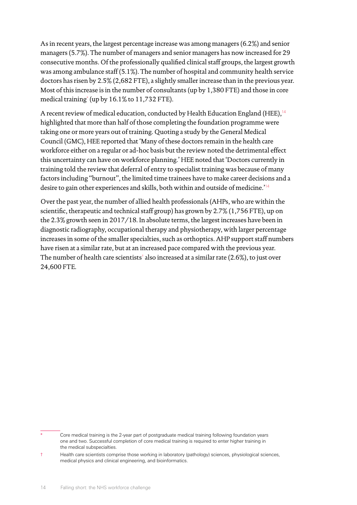As in recent years, the largest percentage increase was among managers (6.2%) and senior managers (5.7%). The number of managers and senior managers has now increased for 29 consecutive months. Of the professionally qualified clinical staff groups, the largest growth was among ambulance staff (5.1%). The number of hospital and community health service doctors has risen by 2.5% (2,682 FTE), a slightly smaller increase than in the previous year. Most of this increase is in the number of consultants (up by 1,380 FTE) and those in core medical training\* (up by 16.1% to 11,732 FTE).

A recent review of medical education, conducted by Health Education England (HEE),<sup>[14](#page-49-14)</sup> highlighted that more than half of those completing the foundation programme were taking one or more years out of training. Quoting a study by the General Medical Council (GMC), HEE reported that 'Many of these doctors remain in the health care workforce either on a regular or ad-hoc basis but the review noted the detrimental effect this uncertainty can have on workforce planning.' HEE noted that 'Doctors currently in training told the review that deferral of entry to specialist training was because of many factors including "burnout", the limited time trainees have to make career decisions and a desire to gain other experiences and skills, both within and outside of medicine.'[14](#page-49-14)

Over the past year, the number of allied health professionals (AHPs, who are within the scientific, therapeutic and technical staff group) has grown by 2.7% (1,756 FTE), up on the 2.3% growth seen in 2017/18. In absolute terms, the largest increases have been in diagnostic radiography, occupational therapy and physiotherapy, with larger percentage increases in some of the smaller specialties, such as orthoptics. AHP support staff numbers have risen at a similar rate, but at an increased pace compared with the previous year. The number of health care scientists† also increased at a similar rate (2.6%), to just over 24,600 FTE.

Core medical training is the 2-year part of postgraduate medical training following foundation years one and two. Successful completion of core medical training is required to enter higher training in the medical subspecialties.

<sup>†</sup> Health care scientists comprise those working in laboratory (pathology) sciences, physiological sciences, medical physics and clinical engineering, and bioinformatics.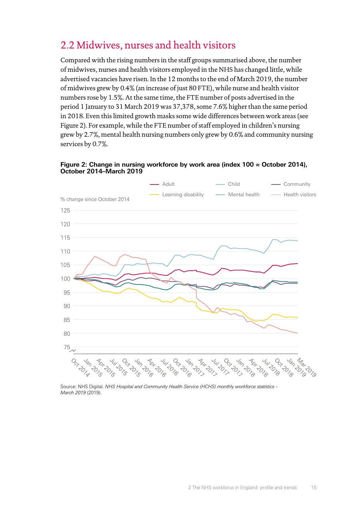## <span id="page-16-0"></span>2.2 Midwives, nurses and health visitors

Compared with the rising numbers in the staff groups summarised above, the number of midwives, nurses and health visitors employed in the NHS has changed little, while advertised vacancies have risen. In the 12 months to the end of March 2019, the number of midwives grew by 0.4% (an increase of just 80 FTE), while nurse and health visitor numbers rose by 1.5%. At the same time, the FTE number of posts advertised in the period 1 January to 31 March 2019 was 37,378, some 7.6% higher than the same period in 2018. Even this limited growth masks some wide differences between work areas (see Figure 2). For example, while the FTE number of staff employed in children's nursing grew by 2.7%, mental health nursing numbers only grew by 0.6% and community nursing services by 0.7%.





Source: NHS Digital. *NHS Hospital and Community Health Service (HCHS) monthly workforce statistics – March 2019* (2019).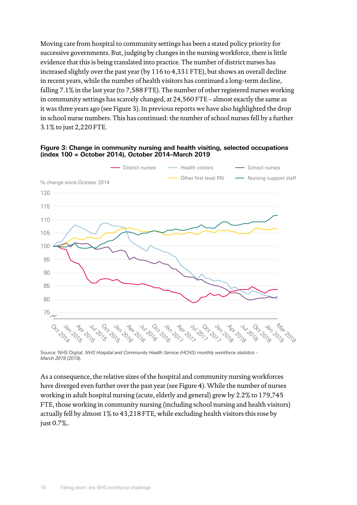Moving care from hospital to community settings has been a stated policy priority for successive governments. But, judging by changes in the nursing workforce, there is little evidence that this is being translated into practice. The number of district nurses has increased slightly over the past year (by 116 to 4,331 FTE), but shows an overall decline in recent years, while the number of health visitors has continued a long-term decline, falling 7.1% in the last year (to 7,588 FTE). The number of other registered nurses working in community settings has scarcely changed, at 24,560 FTE – almost exactly the same as it was three years ago (see Figure 3). In previous reports we have also highlighted the drop in school nurse numbers. This has continued: the number of school nurses fell by a further 3.1% to just 2,220 FTE.



#### **Figure 3: Change in community nursing and health visiting, selected occupations (index 100 = October 2014), October 2014–March 2019**

Source: NHS Digital. *NHS Hospital and Community Health Service (HCHS) monthly workforce statistics – March 2019* (2019).

As a consequence, the relative sizes of the hospital and community nursing workforces have diverged even further over the past year (see Figure 4). While the number of nurses working in adult hospital nursing (acute, elderly and general) grew by 2.2% to 179,745 FTE, those working in community nursing (including school nursing and health visitors) actually fell by almost 1% to 43,218 FTE, while excluding health visitors this rose by just 0.7%..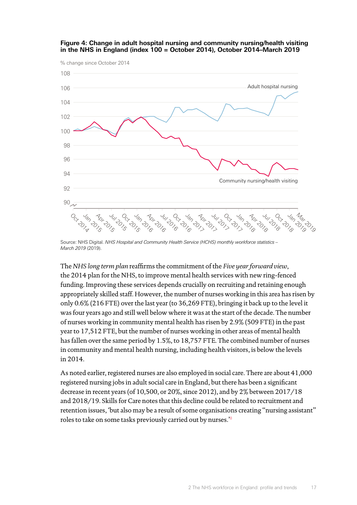

#### **Figure 4: Change in adult hospital nursing and community nursing/health visiting in the NHS in England (index 100 = October 2014), October 2014–March 2019**

Source: NHS Digital. *NHS Hospital and Community Health Service (HCHS) monthly workforce statistics – March 2019* (2019).

The *NHS long term plan* reaffirms the commitment of the *Five year forward view*, the 2014 plan for the NHS, to improve mental health services with new ring-fenced funding. Improving these services depends crucially on recruiting and retaining enough appropriately skilled staff. However, the number of nurses working in this area has risen by only 0.6% (216 FTE) over the last year (to 36,269 FTE), bringing it back up to the level it was four years ago and still well below where it was at the start of the decade. The number of nurses working in community mental health has risen by 2.9% (509 FTE) in the past year to 17,512 FTE, but the number of nurses working in other areas of mental health has fallen over the same period by 1.5%, to 18,757 FTE. The combined number of nurses in community and mental health nursing, including health visitors, is below the levels in 2014.

As noted earlier, registered nurses are also employed in social care. There are about 41,000 registered nursing jobs in adult social care in England, but there has been a significant decrease in recent years (of 10,500, or 20%, since 2012), and by 2% between 2017/18 and 2018/19. Skills for Care notes that this decline could be related to recruitment and retention issues, 'but also may be a result of some organisations creating "nursing assistant" roles to take on some tasks previously carried out by nurses.'[8](#page-49-8)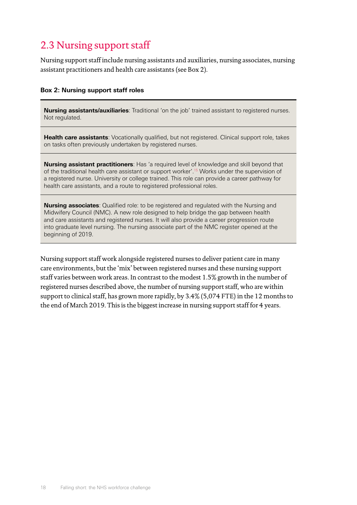## <span id="page-19-0"></span>2.3 Nursing support staff

Nursing support staff include nursing assistants and auxiliaries, nursing associates, nursing assistant practitioners and health care assistants (see Box 2).

#### **Box 2: Nursing support staff roles**

**Nursing assistants/auxiliaries**: Traditional 'on the job' trained assistant to registered nurses. Not regulated.

**Health care assistants**: Vocationally qualified, but not registered. Clinical support role, takes on tasks often previously undertaken by registered nurses.

**Nursing assistant practitioners**: Has 'a required level of knowledge and skill beyond that of the traditional health care assistant or support worker'.<sup>15</sup> Works under the supervision of a registered nurse. University or college trained. This role can provide a career pathway for health care assistants, and a route to registered professional roles.

**Nursing associates**: Qualified role: to be registered and regulated with the Nursing and Midwifery Council (NMC). A new role designed to help bridge the gap between health and care assistants and registered nurses. It will also provide a career progression route into graduate level nursing. The nursing associate part of the NMC register opened at the beginning of 2019.

Nursing support staff work alongside registered nurses to deliver patient care in many care environments, but the 'mix' between registered nurses and these nursing support staff varies between work areas. In contrast to the modest 1.5% growth in the number of registered nurses described above, the number of nursing support staff, who are within support to clinical staff, has grown more rapidly, by 3.4% (5,074 FTE) in the 12 months to the end of March 2019. This is the biggest increase in nursing support staff for 4 years.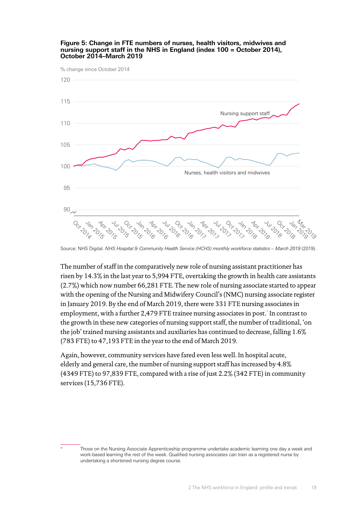

#### **Figure 5: Change in FTE numbers of nurses, health visitors, midwives and nursing support staff in the NHS in England (index 100 = October 2014), October 2014–March 2019**

Source: NHS Digital. NHS Hospital & Community Health Service (HCHS) monthly workforce statistics - March 2019 (2019).

The number of staff in the comparatively new role of nursing assistant practitioner has risen by 14.3% in the last year to 5,994 FTE, overtaking the growth in health care assistants (2.7%) which now number 66,281 FTE. The new role of nursing associate started to appear with the opening of the Nursing and Midwifery Council's (NMC) nursing associate register in January 2019. By the end of March 2019, there were 331 FTE nursing associates in employment, with a further 2,479 FTE trainee nursing associates in post.<sup>\*</sup> In contrast to the growth in these new categories of nursing support staff, the number of traditional, 'on the job' trained nursing assistants and auxiliaries has continued to decrease, falling 1.6% (783 FTE) to 47,193 FTE in the year to the end of March 2019.

Again, however, community services have fared even less well. In hospital acute, elderly and general care, the number of nursing support staff has increased by 4.8% (4349 FTE) to 97,839 FTE, compared with a rise of just 2.2% (342 FTE) in community services (15,736 FTE).

Those on the Nursing Associate Apprenticeship programme undertake academic learning one day a week and work-based learning the rest of the week. Qualified nursing associates can train as a registered nurse by undertaking a shortened nursing degree course.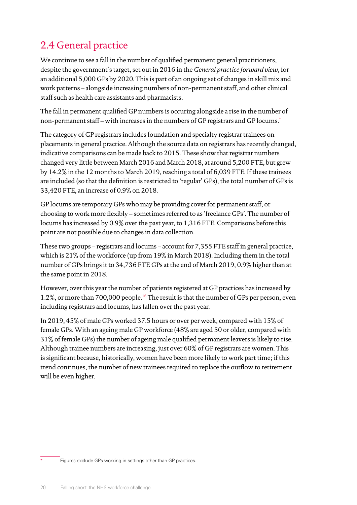## <span id="page-21-0"></span>2.4 General practice

We continue to see a fall in the number of qualified permanent general practitioners, despite the government's target, set out in 2016 in the *General practice forward view*, for an additional 5,000 GPs by 2020. This is part of an ongoing set of changes in skill mix and work patterns – alongside increasing numbers of non-permanent staff, and other clinical staff such as health care assistants and pharmacists.

The fall in permanent qualified GP numbers is occuring alongside a rise in the number of non-permanent staff – with increases in the numbers of GP registrars and GP locums.\*

The category of GP registrars includes foundation and specialty registrar trainees on placements in general practice. Although the source data on registrars has recently changed, indicative comparisons can be made back to 2015. These show that registrar numbers changed very little between March 2016 and March 2018, at around 5,200 FTE, but grew by 14.2% in the 12 months to March 2019, reaching a total of 6,039 FTE. If these trainees are included (so that the definition is restricted to 'regular' GPs), the total number of GPs is 33,420 FTE, an increase of 0.9% on 2018.

GP locums are temporary GPs who may be providing cover for permanent staff, or choosing to work more flexibly – sometimes referred to as 'freelance GPs'. The number of locums has increased by 0.9% over the past year, to 1,316 FTE. Comparisons before this point are not possible due to changes in data collection.

These two groups – registrars and locums – account for 7,355 FTE staff in general practice, which is 21% of the workforce (up from 19% in March 2018). Including them in the total number of GPs brings it to 34,736 FTE GPs at the end of March 2019, 0.9% higher than at the same point in 2018.

However, over this year the number of patients registered at GP practices has increased by 1.2%, or more than 700,000 people.<sup>[16](#page-49-16)</sup> The result is that the number of GPs per person, even including registrars and locums, has fallen over the past year.

In 2019, 45% of male GPs worked 37.5 hours or over per week, compared with 15% of female GPs. With an ageing male GP workforce (48% are aged 50 or older, compared with 31% of female GPs) the number of ageing male qualified permanent leavers is likely to rise. Although trainee numbers are increasing, just over 60% of GP registrars are women. This is significant because, historically, women have been more likely to work part time; if this trend continues, the number of new trainees required to replace the outflow to retirement will be even higher.

Figures exclude GPs working in settings other than GP practices.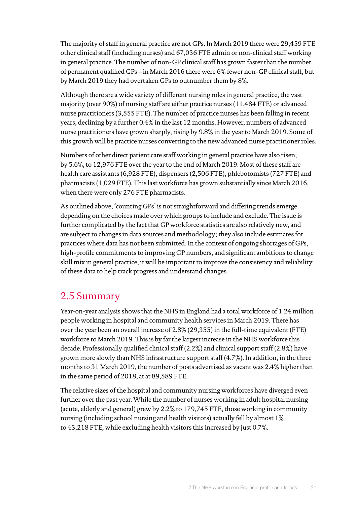<span id="page-22-0"></span>The majority of staff in general practice are not GPs. In March 2019 there were 29,459 FTE other clinical staff (including nurses) and 67,036 FTE admin or non-clinical staff working in general practice. The number of non-GP clinical staff has grown faster than the number of permanent qualified GPs – in March 2016 there were 6% fewer non-GP clinical staff, but by March 2019 they had overtaken GPs to outnumber them by 8%.

Although there are a wide variety of different nursing roles in general practice, the vast majority (over 90%) of nursing staff are either practice nurses (11,484 FTE) or advanced nurse practitioners (3,555 FTE). The number of practice nurses has been falling in recent years, declining by a further 0.4% in the last 12 months. However, numbers of advanced nurse practitioners have grown sharply, rising by 9.8% in the year to March 2019. Some of this growth will be practice nurses converting to the new advanced nurse practitioner roles.

Numbers of other direct patient care staff working in general practice have also risen, by 5.6%, to 12,976 FTE over the year to the end of March 2019. Most of these staff are health care assistants (6,928 FTE), dispensers (2,506 FTE), phlebotomists (727 FTE) and pharmacists (1,029 FTE). This last workforce has grown substantially since March 2016, when there were only 276 FTE pharmacists.

As outlined above, 'counting GPs' is not straightforward and differing trends emerge depending on the choices made over which groups to include and exclude. The issue is further complicated by the fact that GP workforce statistics are also relatively new, and are subject to changes in data sources and methodology; they also include estimates for practices where data has not been submitted. In the context of ongoing shortages of GPs, high-profile commitments to improving GP numbers, and significant ambitions to change skill mix in general practice, it will be important to improve the consistency and reliability of these data to help track progress and understand changes.

### 2.5 Summary

Year-on-year analysis shows that the NHS in England had a total workforce of 1.24 million people working in hospital and community health services in March 2019. There has over the year been an overall increase of 2.8% (29,355) in the full-time equivalent (FTE) workforce to March 2019. This is by far the largest increase in the NHS workforce this decade. Professionally qualified clinical staff (2.2%) and clinical support staff (2.8%) have grown more slowly than NHS infrastructure support staff (4.7%). In addition, in the three months to 31 March 2019, the number of posts advertised as vacant was 2.4% higher than in the same period of 2018, at at 89,589 FTE.

The relative sizes of the hospital and community nursing workforces have diverged even further over the past year. While the number of nurses working in adult hospital nursing (acute, elderly and general) grew by 2.2% to 179,745 FTE, those working in community nursing (including school nursing and health visitors) actually fell by almost 1% to 43,218 FTE, while excluding health visitors this increased by just 0.7%.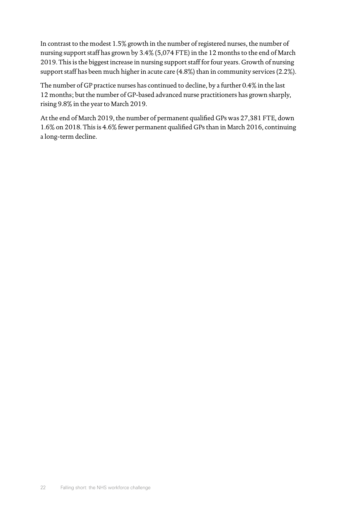In contrast to the modest 1.5% growth in the number of registered nurses, the number of nursing support staff has grown by 3.4% (5,074 FTE) in the 12 months to the end of March 2019. This is the biggest increase in nursing support staff for four years. Growth of nursing support staff has been much higher in acute care (4.8%) than in community services (2.2%).

The number of GP practice nurses has continued to decline, by a further 0.4% in the last 12 months; but the number of GP-based advanced nurse practitioners has grown sharply, rising 9.8% in the year to March 2019.

At the end of March 2019, the number of permanent qualified GPs was 27,381 FTE, down 1.6% on 2018. This is 4.6% fewer permanent qualified GPs than in March 2016, continuing a long-term decline.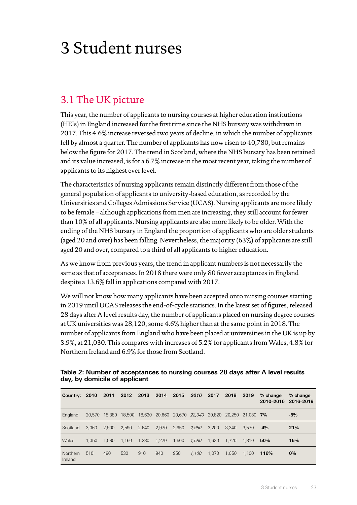## <span id="page-24-0"></span>3 Student nurses

## 3.1 The UK picture

This year, the number of applicants to nursing courses at higher education institutions (HEIs) in England increased for the first time since the NHS bursary was withdrawn in 2017. This 4.6% increase reversed two years of decline, in which the number of applicants fell by almost a quarter. The number of applicants has now risen to 40,780, but remains below the figure for 2017. The trend in Scotland, where the NHS bursary has been retained and its value increased, is for a 6.7% increase in the most recent year, taking the number of applicants to its highest ever level.

The characteristics of nursing applicants remain distinctly different from those of the general population of applicants to university-based education, as recorded by the Universities and Colleges Admissions Service (UCAS). Nursing applicants are more likely to be female – although applications from men are increasing, they still account for fewer than 10% of all applicants. Nursing applicants are also more likely to be older. With the ending of the NHS bursary in England the proportion of applicants who are older students (aged 20 and over) has been falling. Nevertheless, the majority (63%) of applicants are still aged 20 and over, compared to a third of all applicants to higher education.

As we know from previous years, the trend in applicant numbers is not necessarily the same as that of acceptances. In 2018 there were only 80 fewer acceptances in England despite a 13.6% fall in applications compared with 2017.

We will not know how many applicants have been accepted onto nursing courses starting in 2019 until UCAS releases the end-of-cycle statistics. In the latest set of figures, released 28 days after A level results day, the number of applicants placed on nursing degree courses at UK universities was 28,120, some 4.6% higher than at the same point in 2018. The number of applicants from England who have been placed at universities in the UK is up by 3.9%, at 21,030. This compares with increases of 5.2% for applicants from Wales, 4.8% for Northern Ireland and 6.9% for those from Scotland.

| Country:            | 2010   | 2011   | 2012  | 2013  | 2014  | 2015  | 2016                                                   | 2017  | 2018  | 2019      | $%$ change<br>2010-2016 | $%$ change<br>2016-2019 |
|---------------------|--------|--------|-------|-------|-------|-------|--------------------------------------------------------|-------|-------|-----------|-------------------------|-------------------------|
| England             | 20.570 | 18,380 |       |       |       |       | 18,500  18,620  20,660  20,670  22,040  20,820  20,250 |       |       | 21.030 7% |                         | $-5%$                   |
| Scotland            | 3.060  | 2.900  | 2.590 | 2.640 | 2,970 | 2.950 | 2.950                                                  | 3.200 | 3.340 | 3.570     | $-4%$                   | 21%                     |
| Wales               | 1.050  | 1.080  | 1.160 | 1.280 | 1.270 | 1.500 | 1,580                                                  | 1.630 | 1.720 | 1.810     | 50%                     | 15%                     |
| Northern<br>Ireland | 510    | 490    | 530   | 910   | 940   | 950   | 1.100                                                  | 1.070 | 1.050 | 1.100     | 116%                    | 0%                      |

**Table 2: Number of acceptances to nursing courses 28 days after A level results day, by domicile of applicant**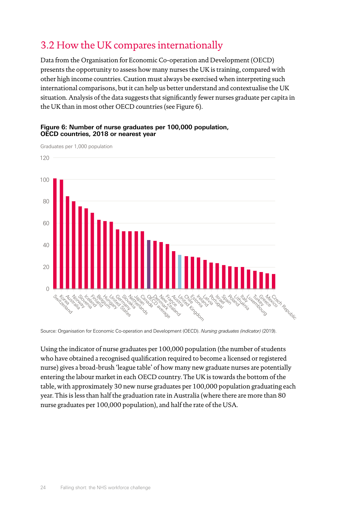## <span id="page-25-0"></span>3.2 How the UK compares internationally

Data from the Organisation for Economic Co-operation and Development (OECD) presents the opportunity to assess how many nurses the UK is training, compared with other high income countries. Caution must always be exercised when interpreting such international comparisons, but it can help us better understand and contextualise the UK situation. Analysis of the data suggests that significantly fewer nurses graduate per capita in the UK than in most other OECD countries (see Figure 6).

#### **Figure 6: Number of nurse graduates per 100,000 population, OECD countries, 2018 or nearest year**

Graduates per 1,000 population



Source: Organisation for Economic Co-operation and Development (OECD). *Nursing graduates (indicator)* (2019).

Using the indicator of nurse graduates per 100,000 population (the number of students who have obtained a recognised qualification required to become a licensed or registered nurse) gives a broad-brush 'league table' of how many new graduate nurses are potentially entering the labour market in each OECD country. The UK is towards the bottom of the table, with approximately 30 new nurse graduates per 100,000 population graduating each year. This is less than half the graduation rate in Australia (where there are more than 80 nurse graduates per 100,000 population), and half the rate of the USA.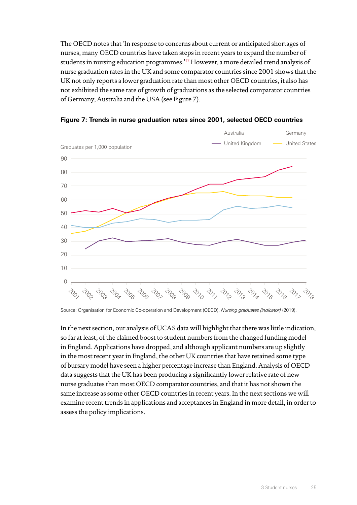The OECD notes that 'In response to concerns about current or anticipated shortages of nurses, many OECD countries have taken steps in recent years to expand the number of students in nursing education programmes.'[17](#page-49-17) However, a more detailed trend analysis of nurse graduation rates in the UK and some comparator countries since 2001 shows that the UK not only reports a lower graduation rate than most other OECD countries, it also has not exhibited the same rate of growth of graduations as the selected comparator countries of Germany, Australia and the USA (see Figure 7).



**Figure 7: Trends in nurse graduation rates since 2001, selected OECD countries**

Source: Organisation for Economic Co-operation and Development (OECD). *Nursing graduates (indicator)* (2019).

In the next section, our analysis of UCAS data will highlight that there was little indication, so far at least, of the claimed boost to student numbers from the changed funding model in England. Applications have dropped, and although applicant numbers are up slightly in the most recent year in England, the other UK countries that have retained some type of bursary model have seen a higher percentage increase than England. Analysis of OECD data suggests that the UK has been producing a significantly lower relative rate of new nurse graduates than most OECD comparator countries, and that it has not shown the same increase as some other OECD countries in recent years. In the next sections we will examine recent trends in applications and acceptances in England in more detail, in order to assess the policy implications.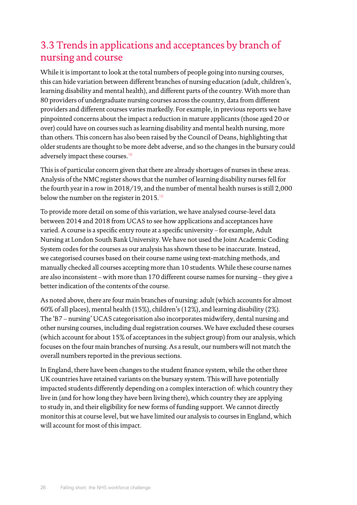## <span id="page-27-0"></span>3.3 Trends in applications and acceptances by branch of nursing and course

While it is important to look at the total numbers of people going into nursing courses, this can hide variation between different branches of nursing education (adult, children's, learning disability and mental health), and different parts of the country. With more than 80 providers of undergraduate nursing courses across the country, data from different providers and different courses varies markedly. For example, in previous reports we have pinpointed concerns about the impact a reduction in mature applicants (those aged 20 or over) could have on courses such as learning disability and mental health nursing, more than others. This concern has also been raised by the Council of Deans, highlighting that older students are thought to be more debt adverse, and so the changes in the bursary could adversely impact these courses.<sup>[18](#page-49-18)</sup>

This is of particular concern given that there are already shortages of nurses in these areas. Analysis of the NMC register shows that the number of learning disability nurses fell for the fourth year in a row in 2018/19, and the number of mental health nurses is still 2,000 below the number on the register in 2015.<sup>[19](#page-49-19)</sup>

To provide more detail on some of this variation, we have analysed course-level data between 2014 and 2018 from UCAS to see how applications and acceptances have varied. A course is a specific entry route at a specific university – for example, Adult Nursing at London South Bank University. We have not used the Joint Academic Coding System codes for the courses as our analysis has shown these to be inaccurate. Instead, we categorised courses based on their course name using text-matching methods, and manually checked all courses accepting more than 10 students. While these course names are also inconsistent – with more than 170 different course names for nursing – they give a better indication of the contents of the course.

As noted above, there are four main branches of nursing: adult (which accounts for almost 60% of all places), mental health (15%), children's (12%), and learning disability (2%). The 'B7 – nursing' UCAS categorisation also incorporates midwifery, dental nursing and other nursing courses, including dual registration courses. We have excluded these courses (which account for about 15% of acceptances in the subject group) from our analysis, which focuses on the four main branches of nursing. As a result, our numbers will not match the overall numbers reported in the previous sections.

In England, there have been changes to the student finance system, while the other three UK countries have retained variants on the bursary system. This will have potentially impacted students differently depending on a complex interaction of: which country they live in (and for how long they have been living there), which country they are applying to study in, and their eligibility for new forms of funding support. We cannot directly monitor this at course level, but we have limited our analysis to courses in England, which will account for most of this impact.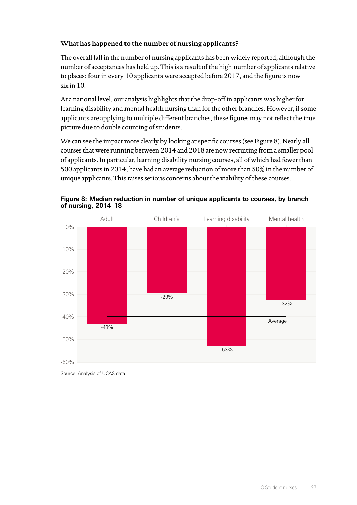### **What has happened to the number of nursing applicants?**

The overall fall in the number of nursing applicants has been widely reported, although the number of acceptances has held up. This is a result of the high number of applicants relative to places: four in every 10 applicants were accepted before 2017, and the figure is now six in 10.

At a national level, our analysis highlights that the drop-off in applicants was higher for learning disability and mental health nursing than for the other branches. However, if some applicants are applying to multiple different branches, these figures may not reflect the true picture due to double counting of students.

We can see the impact more clearly by looking at specific courses (see Figure 8). Nearly all courses that were running between 2014 and 2018 are now recruiting from a smaller pool of applicants. In particular, learning disability nursing courses, all of which had fewer than 500 applicants in 2014, have had an average reduction of more than 50% in the number of unique applicants. This raises serious concerns about the viability of these courses.





Source: Analysis of UCAS data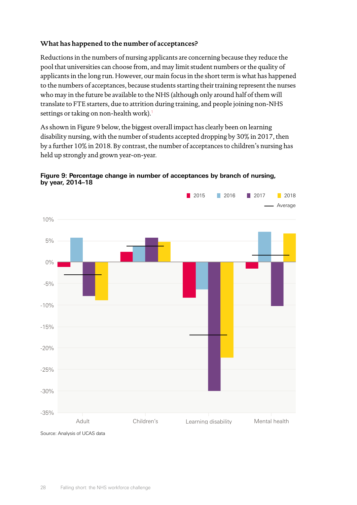#### **What has happened to the number of acceptances?**

Reductions in the numbers of nursing applicants are concerning because they reduce the pool that universities can choose from, and may limit student numbers or the quality of applicants in the long run. However, our main focus in the short term is what has happened to the numbers of acceptances, because students starting their training represent the nurses who may in the future be available to the NHS (although only around half of them will translate to FTE starters, due to attrition during training, and people joining non-NHS settings or taking on non-health work).<sup>[1](#page-49-1)</sup>

As shown in Figure 9 below, the biggest overall impact has clearly been on learning disability nursing, with the number of students accepted dropping by 30% in 2017, then by a further 10% in 2018. By contrast, the number of acceptances to children's nursing has held up strongly and grown year-on-year.



**Figure 9: Percentage change in number of acceptances by branch of nursing, by year, 2014–18**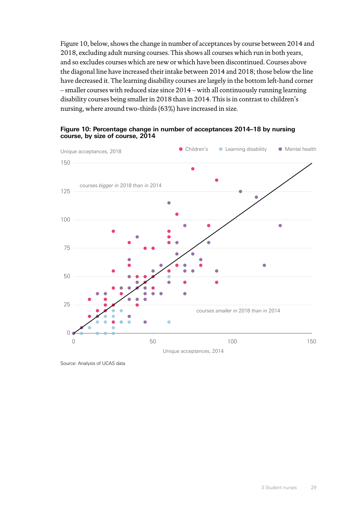Figure 10, below, shows the change in number of acceptances by course between 2014 and 2018, excluding adult nursing courses. This shows all courses which run in both years, and so excludes courses which are new or which have been discontinued. Courses above the diagonal line have increased their intake between 2014 and 2018; those below the line have decreased it. The learning disability courses are largely in the bottom left-hand corner – smaller courses with reduced size since 2014 – with all continuously running learning disability courses being smaller in 2018 than in 2014. This is in contrast to children's nursing, where around two-thirds (63%) have increased in size.





Source: Analysis of UCAS data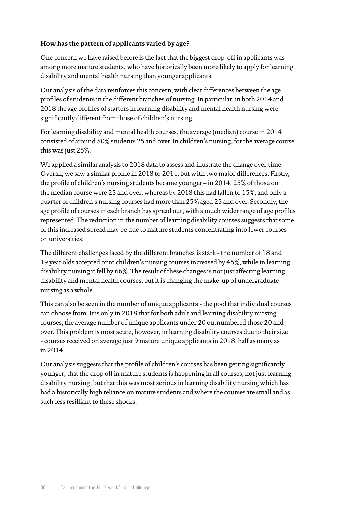#### **How has the pattern of applicants varied by age?**

One concern we have raised before is the fact that the biggest drop-off in applicants was among more mature students, who have historically been more likely to apply for learning disability and mental health nursing than younger applicants.

Our analysis of the data reinforces this concern, with clear differences between the age profiles of students in the different branches of nursing. In particular, in both 2014 and 2018 the age profiles of starters in learning disability and mental health nursing were significantly different from those of children's nursing.

For learning disability and mental health courses, the average (median) course in 2014 consisted of around 50% students 25 and over. In children's nursing, for the average course this was just 25%.

We applied a similar analysis to 2018 data to assess and illustrate the change over time. Overall, we saw a similar profile in 2018 to 2014, but with two major differences. Firstly, the profile of children's nursing students became younger – in 2014, 25% of those on the median course were 25 and over, whereas by 2018 this had fallen to 15%, and only a quarter of children's nursing courses had more than 25% aged 25 and over. Secondly, the age profile of courses in each branch has spread out, with a much wider range of age profiles represented. The reduction in the number of learning disability courses suggests that some of this increased spread may be due to mature students concentrating into fewer courses or universities.

The different challenges faced by the different branches is stark - the number of 18 and 19 year olds accepted onto children's nursing courses increased by 45%, while in learning disability nursing it fell by 66%. The result of these changes is not just affecting learning disability and mental health courses, but it is changing the make-up of undergraduate nursing as a whole.

This can also be seen in the number of unique applicants - the pool that individual courses can choose from. It is only in 2018 that for both adult and learning disability nursing courses, the average number of unique applicants under 20 outnumbered those 20 and over. This problem is most acute, however, in learning disability courses due to their size - courses received on average just 9 mature unique applicants in 2018, half as many as in 2014.

Our analysis suggests that the profile of children's courses has been getting significantly younger; that the drop off in mature students is happening in all courses, not just learning disability nursing; but that this was most serious in learning disability nursing which has had a historically high reliance on mature students and where the courses are small and as such less resilliant to these shocks.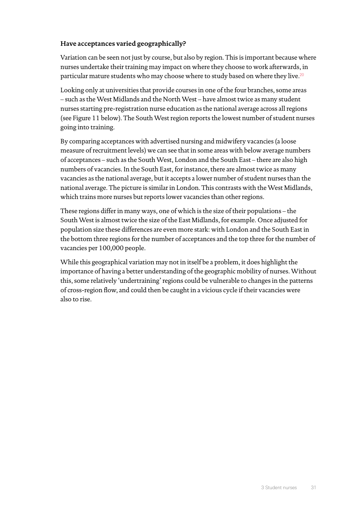#### **Have acceptances varied geographically?**

Variation can be seen not just by course, but also by region. This is important because where nurses undertake their training may impact on where they choose to work afterwards, in particular mature students who may choose where to study based on where they live.[20](#page-49-20)

Looking only at universities that provide courses in one of the four branches, some areas – such as the West Midlands and the North West – have almost twice as many student nurses starting pre-registration nurse education as the national average across all regions (see Figure 11 below). The South West region reports the lowest number of student nurses going into training.

By comparing acceptances with advertised nursing and midwifery vacancies (a loose measure of recruitment levels) we can see that in some areas with below average numbers of acceptances – such as the South West, London and the South East – there are also high numbers of vacancies. In the South East, for instance, there are almost twice as many vacancies as the national average, but it accepts a lower number of student nurses than the national average. The picture is similar in London. This contrasts with the West Midlands, which trains more nurses but reports lower vacancies than other regions.

These regions differ in many ways, one of which is the size of their populations – the South West is almost twice the size of the East Midlands, for example. Once adjusted for population size these differences are even more stark: with London and the South East in the bottom three regions for the number of acceptances and the top three for the number of vacancies per 100,000 people.

While this geographical variation may not in itself be a problem, it does highlight the importance of having a better understanding of the geographic mobility of nurses. Without this, some relatively 'undertraining' regions could be vulnerable to changes in the patterns of cross-region flow, and could then be caught in a vicious cycle if their vacancies were also to rise.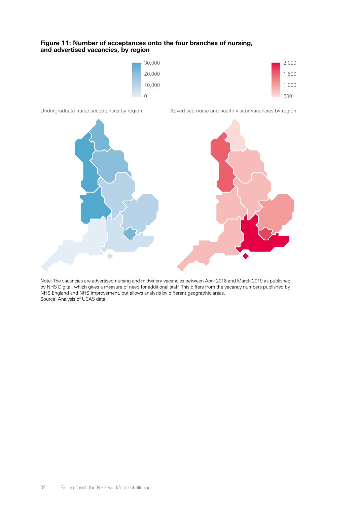#### **Figure 11: Number of acceptances onto the four branches of nursing, and advertised vacancies, by region**





Note: The vacancies are advertised nursing and midwifery vacancies between April 2018 and March 2019 as published by NHS Digital, which gives a measure of need for additional staff. This differs from the vacancy numbers published by NHS England and NHS Improvement, but allows analysis by different geographic areas. Source: Analysis of UCAS data.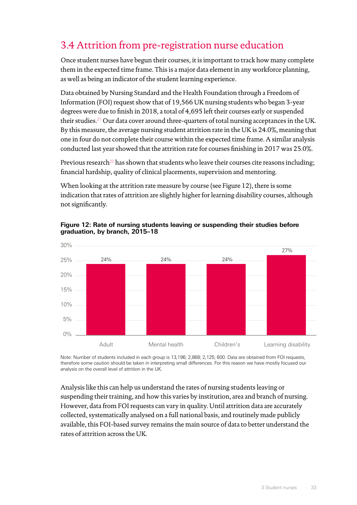## <span id="page-34-0"></span>3.4 Attrition from pre-registration nurse education

Once student nurses have begun their courses, it is important to track how many complete them in the expected time frame. This is a major data element in any workforce planning, as well as being an indicator of the student learning experience.

Data obtained by Nursing Standard and the Health Foundation through a Freedom of Information (FOI) request show that of 19,566 UK nursing students who began 3-year degrees were due to finish in 2018, a total of 4,695 left their courses early or suspended their studies.<sup>[21](#page-49-21)</sup> Our data cover around three-quarters of total nursing acceptances in the UK. By this measure, the average nursing student attrition rate in the UK is 24.0%, meaning that one in four do not complete their course within the expected time frame. A similar analysis conducted last year showed that the attrition rate for courses finishing in 2017 was 25.0%.

Previous research<sup>[22](#page-49-22)</sup> has shown that students who leave their courses cite reasons including; financial hardship, quality of clinical placements, supervision and mentoring.

When looking at the attrition rate measure by course (see Figure 12), there is some indication that rates of attrition are slightly higher for learning disability courses, although not significantly.



#### **Figure 12: Rate of nursing students leaving or suspending their studies before graduation, by branch, 2015–18**

Note: Number of students included in each group is 13,196; 2,868; 2,125; 600. Data are obtained from FOI requests, therefore some caution should be taken in interpreting small differences. For this reason we have mostly focused our analysis on the overall level of attrition in the UK.

Analysis like this can help us understand the rates of nursing students leaving or suspending their training, and how this varies by institution, area and branch of nursing. However, data from FOI requests can vary in quality. Until attrition data are accurately collected, systematically analysed on a full national basis, and routinely made publicly available, this FOI-based survey remains the main source of data to better understand the rates of attrition across the UK.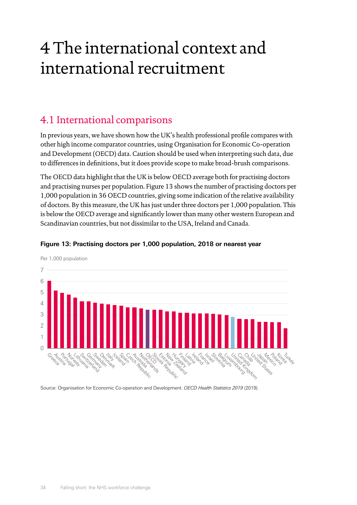## <span id="page-35-0"></span>4 The international context and international recruitment

## 4.1 International comparisons

In previous years, we have shown how the UK's health professional profile compares with other high income comparator countries, using Organisation for Economic Co-operation and Development (OECD) data. Caution should be used when interpreting such data, due to differences in definitions, but it does provide scope to make broad-brush comparisons.

The OECD data highlight that the UK is below OECD average both for practising doctors and practising nurses per population. Figure 13 shows the number of practising doctors per 1,000 population in 36 OECD countries, giving some indication of the relative availability of doctors. By this measure, the UK has just under three doctors per 1,000 population. This is below the OECD average and significantly lower than many other western European and Scandinavian countries, but not dissimilar to the USA, Ireland and Canada.



#### **Figure 13: Practising doctors per 1,000 population, 2018 or nearest year**

Source: Organisation for Economic Co-operation and Development. *OECD Health Statistics 2019* (2019).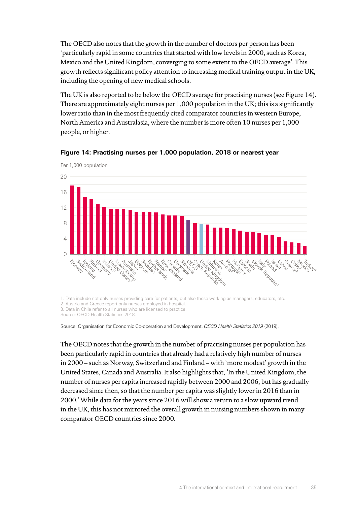The OECD also notes that the growth in the number of doctors per person has been 'particularly rapid in some countries that started with low levels in 2000, such as Korea, Mexico and the United Kingdom, converging to some extent to the OECD average'. This growth reflects significant policy attention to increasing medical training output in the UK, including the opening of new medical schools.

The UK is also reported to be below the OECD average for practising nurses (see Figure 14). There are approximately eight nurses per 1,000 population in the UK; this is a significantly lower ratio than in the most frequently cited comparator countries in western Europe, North America and Australasia, where the number is more often 10 nurses per 1,000 people, or higher.



#### **Figure 14: Practising nurses per 1,000 population, 2018 or nearest year**

1. Data include not only nurses providing care for patients, but also those working as managers, educators, etc.

2. Austria and Greece report only nurses employed in hospital.

3. Data in Chile refer to all nurses who are licensed to practice.

Source: OECD Health Statistics 2018.

Source: Organisation for Economic Co-operation and Development. *OECD Health Statistics 2019* (2019).

The OECD notes that the growth in the number of practising nurses per population has been particularly rapid in countries that already had a relatively high number of nurses in 2000 – such as Norway, Switzerland and Finland – with 'more modest' growth in the United States, Canada and Australia. It also highlights that, 'In the United Kingdom, the number of nurses per capita increased rapidly between 2000 and 2006, but has gradually decreased since then, so that the number per capita was slightly lower in 2016 than in 2000.' While data for the years since 2016 will show a return to a slow upward trend in the UK, this has not mirrored the overall growth in nursing numbers shown in many comparator OECD countries since 2000.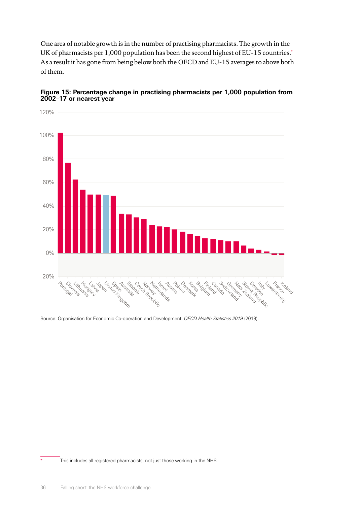One area of notable growth is in the number of practising pharmacists. The growth in the UK of pharmacists per 1,000 population has been the second highest of EU-15 countries.\* As a result it has gone from being below both the OECD and EU-15 averages to above both of them.





Source: Organisation for Economic Co-operation and Development. *OECD Health Statistics 2019* (2019).

This includes all registered pharmacists, not just those working in the NHS.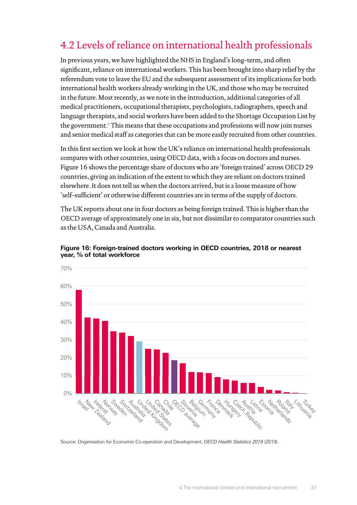## <span id="page-38-0"></span>4.2 Levels of reliance on international health professionals

In previous years, we have highlighted the NHS in England's long-term, and often significant, reliance on international workers. This has been brought into sharp relief by the referendum vote to leave the EU and the subsequent assessment of its implications for both international health workers already working in the UK, and those who may be recruited in the future. Most recently, as we note in the introduction, additional categories of all medical practitioners, occupational therapists, psychologists, radiographers, speech and language therapists, and social workers have been added to the Shortage Occupation List by the government.[4](#page-49-4) This means that these occupations and professions will now join nurses and senior medical staff as categories that can be more easily recruited from other countries.

In this first section we look at how the UK's reliance on international health professionals compares with other countries, using OECD data, with a focus on doctors and nurses. Figure 16 shows the percentage share of doctors who are 'foreign trained' across OECD 29 countries, giving an indication of the extent to which they are reliant on doctors trained elsewhere. It does not tell us when the doctors arrived, but is a loose measure of how 'self-sufficient' or otherwise different countries are in terms of the supply of doctors.

The UK reports about one in four doctors as being foreign trained. This is higher than the OECD average of approximately one in six, but not dissimilar to comparator countries such as the USA, Canada and Australia.



**Figure 16: Foreign-trained doctors working in OECD countries, 2018 or nearest year, % of total workforce**

Source: Organisation for Economic Co-operation and Development. *OECD Health Statistics 2019* (2019).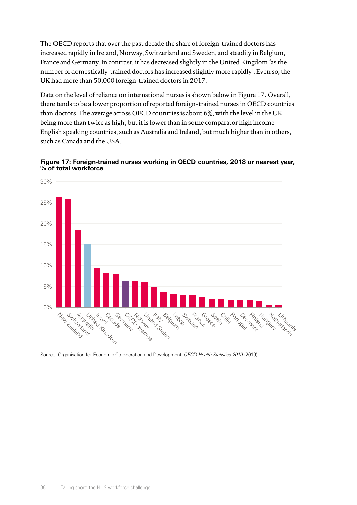The OECD reports that over the past decade the share of foreign-trained doctors has increased rapidly in Ireland, Norway, Switzerland and Sweden, and steadily in Belgium, France and Germany. In contrast, it has decreased slightly in the United Kingdom 'as the number of domestically-trained doctors has increased slightly more rapidly'. Even so, the UK had more than 50,000 foreign-trained doctors in 2017.

Data on the level of reliance on international nurses is shown below in Figure 17. Overall, there tends to be a lower proportion of reported foreign-trained nurses in OECD countries than doctors. The average across OECD countries is about 6%, with the level in the UK being more than twice as high; but it is lower than in some comparator high income English speaking countries, such as Australia and Ireland, but much higher than in others, such as Canada and the USA.





Source: Organisation for Economic Co-operation and Development. *OECD Health Statistics 2019* (2019)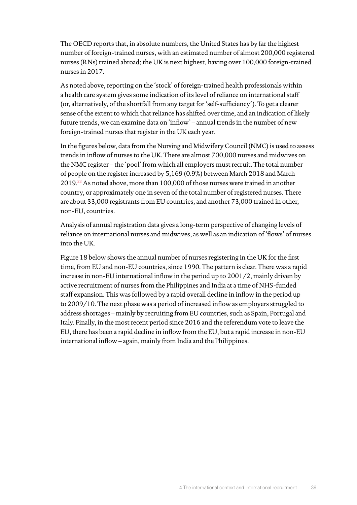The OECD reports that, in absolute numbers, the United States has by far the highest number of foreign-trained nurses, with an estimated number of almost 200,000 registered nurses (RNs) trained abroad; the UK is next highest, having over 100,000 foreign-trained nurses in 2017.

As noted above, reporting on the 'stock' of foreign-trained health professionals within a health care system gives some indication of its level of reliance on international staff (or, alternatively, of the shortfall from any target for 'self-sufficiency'). To get a clearer sense of the extent to which that reliance has shifted over time, and an indication of likely future trends, we can examine data on 'inflow' – annual trends in the number of new foreign-trained nurses that register in the UK each year.

In the figures below, data from the Nursing and Midwifery Council (NMC) is used to assess trends in inflow of nurses to the UK. There are almost 700,000 nurses and midwives on the NMC register – the 'pool' from which all employers must recruit. The total number of people on the register increased by 5,169 (0.9%) between March 2018 and March 2019.[23](#page-49-23) As noted above, more than 100,000 of those nurses were trained in another country, or approximately one in seven of the total number of registered nurses. There are about 33,000 registrants from EU countries, and another 73,000 trained in other, non-EU, countries.

Analysis of annual registration data gives a long-term perspective of changing levels of reliance on international nurses and midwives, as well as an indication of 'flows' of nurses into the UK.

Figure 18 below shows the annual number of nurses registering in the UK for the first time, from EU and non-EU countries, since 1990. The pattern is clear. There was a rapid increase in non-EU international inflow in the period up to 2001/2, mainly driven by active recruitment of nurses from the Philippines and India at a time of NHS-funded staff expansion. This was followed by a rapid overall decline in inflow in the period up to 2009/10. The next phase was a period of increased inflow as employers struggled to address shortages – mainly by recruiting from EU countries, such as Spain, Portugal and Italy. Finally, in the most recent period since 2016 and the referendum vote to leave the EU, there has been a rapid decline in inflow from the EU, but a rapid increase in non-EU international inflow – again, mainly from India and the Philippines.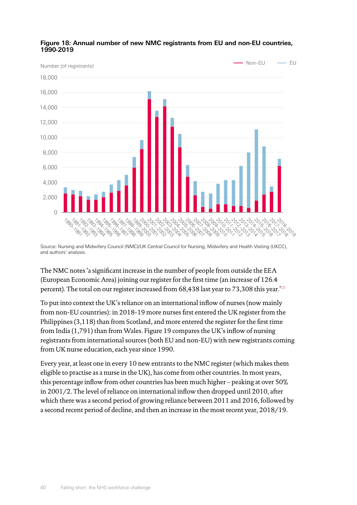

#### **Figure 18: Annual number of new NMC registrants from EU and non-EU countries, 1990-2019**

Source: Nursing and Midwifery Council (NMC)/UK Central Council for Nursing, Midwifery and Health Visiting (UKCC), and authors' analysis.

The NMC notes 'a significant increase in the number of people from outside the EEA (European Economic Area) joining our register for the first time (an increase of 126.4 percent). The total on our register increased from 68,438 last year to 73,308 this year.'[20](#page-49-20)

To put into context the UK's reliance on an international inflow of nurses (now mainly from non-EU countries): in 2018-19 more nurses first entered the UK register from the Philippines (3,118) than from Scotland, and more entered the register for the first time from India (1,791) than from Wales. Figure 19 compares the UK's inflow of nursing registrants from international sources (both EU and non-EU) with new registrants coming from UK nurse education, each year since 1990.

Every year, at least one in every 10 new entrants to the NMC register (which makes them eligible to practise as a nurse in the UK), has come from other countries. In most years, this percentage inflow from other countries has been much higher – peaking at over 50% in 2001/2. The level of reliance on international inflow then dropped until 2010, after which there was a second period of growing reliance between 2011 and 2016, followed by a second recent period of decline, and then an increase in the most recent year, 2018/19.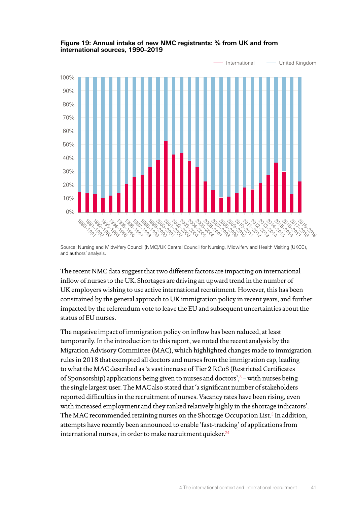

#### **Figure 19: Annual intake of new NMC registrants: % from UK and from international sources, 1990–2019**

Source: Nursing and Midwifery Council (NMC)/UK Central Council for Nursing, Midwifery and Health Visiting (UKCC), and authors' analysis.

The recent NMC data suggest that two different factors are impacting on international inflow of nurses to the UK. Shortages are driving an upward trend in the number of UK employers wishing to use active international recruitment. However, this has been constrained by the general approach to UK immigration policy in recent years, and further impacted by the referendum vote to leave the EU and subsequent uncertainties about the status of EU nurses.

The negative impact of immigration policy on inflow has been reduced, at least temporarily. In the introduction to this report, we noted the recent analysis by the Migration Advisory Committee (MAC), which highlighted changes made to immigration rules in 2018 that exempted all doctors and nurses from the immigration cap, leading to what the MAC described as 'a vast increase of Tier 2 RCoS (Restricted Certificates of Sponsorship) applications being given to nurses and doctors',<sup>[3](#page-49-3)</sup> – with nurses being the single largest user. The MAC also stated that 'a significant number of stakeholders reported difficulties in the recruitment of nurses. Vacancy rates have been rising, even with increased employment and they ranked relatively highly in the shortage indicators'. The MAC recommended retaining nurses on the Shortage Occupation List.<sup>[3](#page-49-3)</sup> In addition, attempts have recently been announced to enable 'fast-tracking' of applications from international nurses, in order to make recruitment quicker.<sup>[24](#page-49-24)</sup>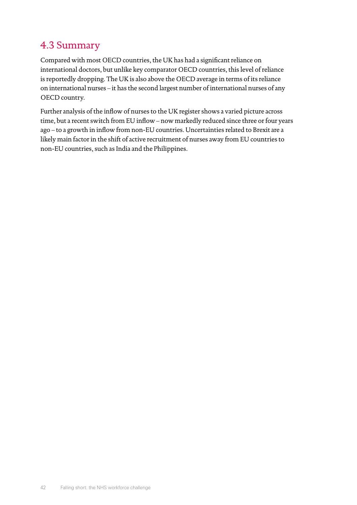## <span id="page-43-0"></span>4.3 Summary

Compared with most OECD countries, the UK has had a significant reliance on international doctors, but unlike key comparator OECD countries, this level of reliance is reportedly dropping. The UK is also above the OECD average in terms of its reliance on international nurses – it has the second largest number of international nurses of any OECD country.

Further analysis of the inflow of nurses to the UK register shows a varied picture across time, but a recent switch from EU inflow – now markedly reduced since three or four years ago – to a growth in inflow from non-EU countries. Uncertainties related to Brexit are a likely main factor in the shift of active recruitment of nurses away from EU countries to non-EU countries, such as India and the Philippines.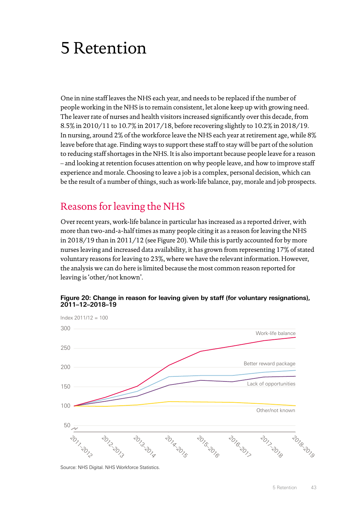## <span id="page-44-0"></span>5 Retention

One in nine staff leaves the NHS each year, and needs to be replaced if the number of people working in the NHS is to remain consistent, let alone keep up with growing need. The leaver rate of nurses and health visitors increased significantly over this decade, from 8.5% in 2010/11 to 10.7% in 2017/18, before recovering slightly to 10.2% in 2018/19. In nursing, around 2% of the workforce leave the NHS each year at retirement age, while 8% leave before that age. Finding ways to support these staff to stay will be part of the solution to reducing staff shortages in the NHS. It is also important because people leave for a reason – and looking at retention focuses attention on why people leave, and how to improve staff experience and morale. Choosing to leave a job is a complex, personal decision, which can be the result of a number of things, such as work-life balance, pay, morale and job prospects.

### Reasons for leaving the NHS

Over recent years, work-life balance in particular has increased as a reported driver, with more than two-and-a-half times as many people citing it as a reason for leaving the NHS in 2018/19 than in 2011/12 (see Figure 20). While this is partly accounted for by more nurses leaving and increased data availability, it has grown from representing 17% of stated voluntary reasons for leaving to 23%, where we have the relevant information. However, the analysis we can do here is limited because the most common reason reported for leaving is 'other/not known'.



**Figure 20: Change in reason for leaving given by staff (for voluntary resignations), 2011–12–2018–19**

Source: NHS Digital. NHS Workforce Statistics.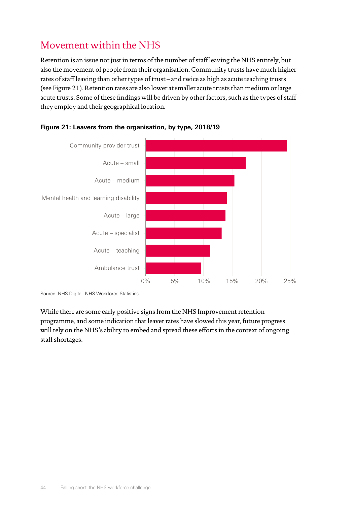## Movement within the NHS

Retention is an issue not just in terms of the number of staff leaving the NHS entirely, but also the movement of people from their organisation. Community trusts have much higher rates of staff leaving than other types of trust – and twice as high as acute teaching trusts (see Figure 21). Retention rates are also lower at smaller acute trusts than medium or large acute trusts. Some of these findings will be driven by other factors, such as the types of staff they employ and their geographical location.





Source: NHS Digital. NHS Workforce Statistics.

While there are some early positive signs from the NHS Improvement retention programme, and some indication that leaver rates have slowed this year, future progress will rely on the NHS's ability to embed and spread these efforts in the context of ongoing staff shortages.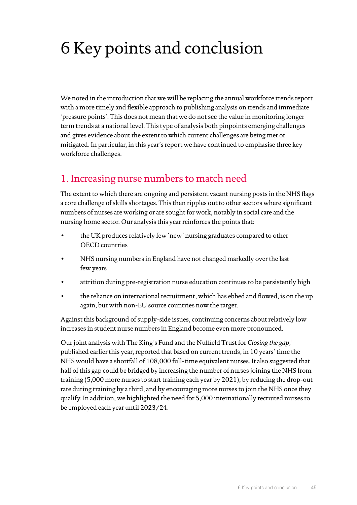## <span id="page-46-0"></span>6 Key points and conclusion

We noted in the introduction that we will be replacing the annual workforce trends report with a more timely and flexible approach to publishing analysis on trends and immediate 'pressure points'. This does not mean that we do not see the value in monitoring longer term trends at a national level. This type of analysis both pinpoints emerging challenges and gives evidence about the extent to which current challenges are being met or mitigated. In particular, in this year's report we have continued to emphasise three key workforce challenges.

## 1. Increasing nurse numbers to match need

The extent to which there are ongoing and persistent vacant nursing posts in the NHS flags a core challenge of skills shortages. This then ripples out to other sectors where significant numbers of nurses are working or are sought for work, notably in social care and the nursing home sector. Our analysis this year reinforces the points that:

- the UK produces relatively few 'new' nursing graduates compared to other OECD countries
- NHS nursing numbers in England have not changed markedly over the last few years
- attrition during pre-registration nurse education continues to be persistently high
- the reliance on international recruitment, which has ebbed and flowed, is on the up again, but with non-EU source countries now the target.

Against this background of supply-side issues, continuing concerns about relatively low increases in student nurse numbers in England become even more pronounced.

Our joint analysis with The King's Fund and the Nuffield Trust for *Closing the gap,*[1](#page-49-1) published earlier this year, reported that based on current trends, in 10 years' time the NHS would have a shortfall of 108,000 full-time equivalent nurses. It also suggested that half of this gap could be bridged by increasing the number of nurses joining the NHS from training (5,000 more nurses to start training each year by 2021), by reducing the drop-out rate during training by a third, and by encouraging more nurses to join the NHS once they qualify. In addition, we highlighted the need for 5,000 internationally recruited nurses to be employed each year until 2023/24.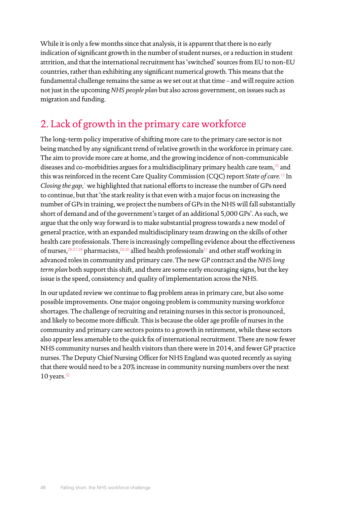While it is only a few months since that analysis, it is apparent that there is no early indication of significant growth in the number of student nurses, or a reduction in student attrition, and that the international recruitment has 'switched' sources from EU to non-EU countries, rather than exhibiting any significant numerical growth. This means that the fundamental challenge remains the same as we set out at that time – and will require action not just in the upcoming *NHS people plan* but also across government, on issues such as migration and funding.

## 2. Lack of growth in the primary care workforce

The long-term policy imperative of shifting more care to the primary care sector is not being matched by any significant trend of relative growth in the workforce in primary care. The aim to provide more care at home, and the growing incidence of non-communicable diseases and co-morbidities argues for a multidisciplinary primary health care team, $25$  and this was reinforced in the recent Care Quality Commission (CQC) report *State of care*. [12](#page-49-12) In Closing the gap,<sup>[1](#page-49-1)</sup> we highlighted that national efforts to increase the number of GPs need to continue, but that 'the stark reality is that even with a major focus on increasing the number of GPs in training, we project the numbers of GPs in the NHS will fall substantially short of demand and of the government's target of an additional 5,000 GPs'. As such, we argue that the only way forward is to make substantial progress towards a new model of general practice, with an expanded multidisciplinary team drawing on the skills of other health care professionals. There is increasingly compelling evidence about the effectiveness of nurses,  $26,27,28$  $26,27,28$  $26,27,28$  $26,27,28$  pharmacists,  $29,30$  $29,30$  $29,30$  allied health professionals<sup>[31](#page-50-6)</sup> and other staff working in advanced roles in community and primary care. The new GP contract and the *NHS long term plan* both support this shift, and there are some early encouraging signs, but the key issue is the speed, consistency and quality of implementation across the NHS.

In our updated review we continue to flag problem areas in primary care, but also some possible improvements. One major ongoing problem is community nursing workforce shortages. The challenge of recruiting and retaining nurses in this sector is pronounced, and likely to become more difficult. This is because the older age profile of nurses in the community and primary care sectors points to a growth in retirement, while these sectors also appear less amenable to the quick fix of international recruitment. There are now fewer NHS community nurses and health visitors than there were in 2014, and fewer GP practice nurses. The Deputy Chief Nursing Officer for NHS England was quoted recently as saying that there would need to be a 20% increase in community nursing numbers over the next 10 years. $32$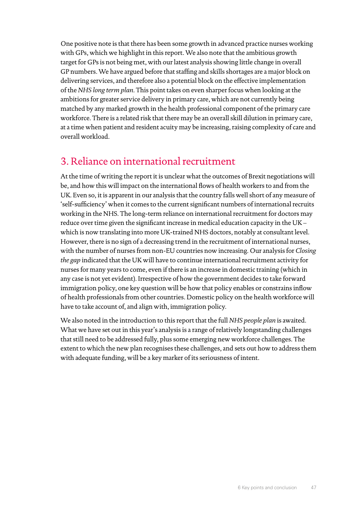One positive note is that there has been some growth in advanced practice nurses working with GPs, which we highlight in this report. We also note that the ambitious growth target for GPs is not being met, with our latest analysis showing little change in overall GP numbers. We have argued before that staffing and skills shortages are a major block on delivering services, and therefore also a potential block on the effective implementation of the *NHS long term plan*. This point takes on even sharper focus when looking at the ambitions for greater service delivery in primary care, which are not currently being matched by any marked growth in the health professional component of the primary care workforce. There is a related risk that there may be an overall skill dilution in primary care, at a time when patient and resident acuity may be increasing, raising complexity of care and overall workload.

### 3. Reliance on international recruitment

At the time of writing the report it is unclear what the outcomes of Brexit negotiations will be, and how this will impact on the international flows of health workers to and from the UK. Even so, it is apparent in our analysis that the country falls well short of any measure of 'self-sufficiency' when it comes to the current significant numbers of international recruits working in the NHS. The long-term reliance on international recruitment for doctors may reduce over time given the significant increase in medical education capacity in the UK – which is now translating into more UK-trained NHS doctors, notably at consultant level. However, there is no sign of a decreasing trend in the recruitment of international nurses, with the number of nurses from non-EU countries now increasing. Our analysis for *Closing the gap* indicated that the UK will have to continue international recruitment activity for nurses for many years to come, even if there is an increase in domestic training (which in any case is not yet evident). Irrespective of how the government decides to take forward immigration policy, one key question will be how that policy enables or constrains inflow of health professionals from other countries. Domestic policy on the health workforce will have to take account of, and align with, immigration policy.

We also noted in the introduction to this report that the full *NHS people plan* is awaited. What we have set out in this year's analysis is a range of relatively longstanding challenges that still need to be addressed fully, plus some emerging new workforce challenges. The extent to which the new plan recognises these challenges, and sets out how to address them with adequate funding, will be a key marker of its seriousness of intent.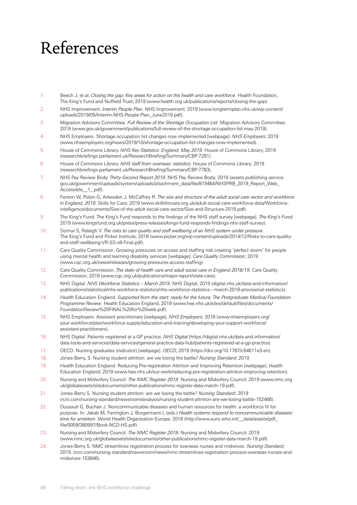## <span id="page-49-0"></span>References

- <span id="page-49-1"></span>1. Beech J, et al. *Closing the gap: Key areas for action on the health and care workforce*. Health Foundation, The King's Fund and Nuffield Trust; 2019 [\(www.health.org.uk/publications/reports/closing-the-gap\)](https://www.health.org.uk/publications/reports/closing-the-gap).
- <span id="page-49-2"></span>2. NHS Improvement. *Interim People Plan*. NHS Improvement; 2019 [\(www.longtermplan.nhs.uk/wp-content/](https://www.longtermplan.nhs.uk/wp-content/uploads/2019/05/Interim-NHS-People-Plan_June2019.pdf) [uploads/2019/05/Interim-NHS-People-Plan\\_June2019.pdf\)](https://www.longtermplan.nhs.uk/wp-content/uploads/2019/05/Interim-NHS-People-Plan_June2019.pdf).
- <span id="page-49-3"></span>3. Migration Advisory Committee. *Full Review of the Shortage Occupation List*. Migration Advisory Committee; 2019 [\(www.gov.uk/government/publications/full-review-of-the-shortage-occupation-list-may-2019](https://www.gov.uk/government/publications/full-review-of-the-shortage-occupation-list-may-2019)).
- <span id="page-49-4"></span>4. NHS Employers. Shortage occupation list changes now implemented [webpage]. *NHS Employers*; 2019 ([www.nhsemployers.org/news/2019/10/shortage-occupation-list-changes-now-implemented\)](https://www.nhsemployers.org/news/2019/10/shortage-occupation-list-changes-now-implemented).
- <span id="page-49-5"></span>5. House of Commons Library. *NHS Key Statistics: England, May 2019*. House of Commons Library; 2019 ([researchbriefings.parliament.uk/ResearchBriefing/Summary/CBP-7281\)](https://researchbriefings.parliament.uk/ResearchBriefing/Summary/CBP-7281).
- <span id="page-49-6"></span>6. House of Commons Library. *NHS staff from overseas: statistics*. House of Commons Library; 2019 ([researchbriefings.parliament.uk/ResearchBriefing/Summary/CBP-7783\)](https://researchbriefings.parliament.uk/ResearchBriefing/Summary/CBP-7783).
- <span id="page-49-7"></span>7. NHS Pay Review Body. *Thirty-Second Report 2019*. NHS Pay Review Body; 2019 [\(assets.publishing.service.](https://assets.publishing.service.gov.uk/government/uploads/system/uploads/attachment_data/file/819464/NHSPRB_2019_Report_Web_Accessible__1_.pdf) [gov.uk/government/uploads/system/uploads/attachment\\_data/file/819464/NHSPRB\\_2019\\_Report\\_Web\\_](https://assets.publishing.service.gov.uk/government/uploads/system/uploads/attachment_data/file/819464/NHSPRB_2019_Report_Web_Accessible__1_.pdf) [Accessible\\_\\_1\\_.pdf](https://assets.publishing.service.gov.uk/government/uploads/system/uploads/attachment_data/file/819464/NHSPRB_2019_Report_Web_Accessible__1_.pdf)).
- <span id="page-49-8"></span>8. Fenton W, Polzin G, Arkesden J, McCaffrey R. *The size and structure of the adult social care sector and workforce in England, 2019*. Skills for Care; 2019 ([www.skillsforcare.org.uk/adult-social-care-workforce-data/Workforce](https://www.skillsforcare.org.uk/adult-social-care-workforce-data/Workforce-intelligence/documents/Size-of-the-adult-social-care-sector/Size-and-Structure-2019.pdf)[intelligence/documents/Size-of-the-adult-social-care-sector/Size-and-Structure-2019.pdf\)](https://www.skillsforcare.org.uk/adult-social-care-workforce-data/Workforce-intelligence/documents/Size-of-the-adult-social-care-sector/Size-and-Structure-2019.pdf).
- <span id="page-49-9"></span>9. The King's Fund. The King's Fund responds to the findings of the NHS staff survey [webpage]. *The King's Fund*; 2019 [\(www.kingsfund.org.uk/press/press-releases/kings-fund-responds-findings-nhs-staff-survey\)](https://www.kingsfund.org.uk/press/press-releases/kings-fund-responds-findings-nhs-staff-survey).
- <span id="page-49-10"></span>10. Sizmur S, Raleigh V. *The risks to care quality and staff wellbeing of an NHS system under pressure*. The King's Fund and Picker Institute; 2018 ([www.picker.org/wp-content/uploads/2014/12/Risks-to-care-quality](https://www.picker.org/wp-content/uploads/2014/12/Risks-to-care-quality-and-staff-wellbeing-VR-SS-v8-Final.pdf)[and-staff-wellbeing-VR-SS-v8-Final.pdf](https://www.picker.org/wp-content/uploads/2014/12/Risks-to-care-quality-and-staff-wellbeing-VR-SS-v8-Final.pdf)).
- <span id="page-49-11"></span>11. Care Quality Commission. Growing pressures on access and staffing risk creating 'perfect storm' for people using mental health and learning disability services [webpage]. *Care Quality Commission*; 2019 ([www.cqc.org.uk/news/releases/growing-pressures-access-staffing\)](https://www.cqc.org.uk/news/releases/growing-pressures-access-staffing).
- <span id="page-49-12"></span>12. Care Quality Commission. *The state of health care and adult social care in England 2018/19*. Care Quality Commission; 2019 ([www.cqc.org.uk/publications/major-report/state-care](https://www.cqc.org.uk/publications/major-report/state-care)).
- <span id="page-49-13"></span>13. NHS Digital. *NHS Workforce Statistics – March 2019*. NHS Digital; 2019 ([digital.nhs.uk/data-and-information/](https://digital.nhs.uk/data-and-information/publications/statistical/nhs-workforce-statistics/nhs-workforce-statistics---march-2019-provisional-statistics) [publications/statistical/nhs-workforce-statistics/nhs-workforce-statistics---march-2019-provisional-statistics](https://digital.nhs.uk/data-and-information/publications/statistical/nhs-workforce-statistics/nhs-workforce-statistics---march-2019-provisional-statistics)).
- <span id="page-49-14"></span>14. Health Education England. *Supported from the start; ready for the future; The Postgraduate Medical Foundation Programme Review*. Health Education England; 2019 ([www.hee.nhs.uk/sites/default/files/documents/](https://www.hee.nhs.uk/sites/default/files/documents/FoundationReview%20FINAL%20for%20web.pdf) [FoundationReview%20FINAL%20for%20web.pdf](https://www.hee.nhs.uk/sites/default/files/documents/FoundationReview%20FINAL%20for%20web.pdf)).
- <span id="page-49-15"></span>15. NHS Employers. Assistant practitioners [webpage]. *NHS Employers*; 2018 [\(www.nhsemployers.org/](http://www.nhsemployers.org/your-workforce/plan/workforce-supply/education-and-training/developing-your-support-workforce/assistant-practitioners) [your-workforce/plan/workforce-supply/education-and-training/developing-your-support-workforce/](http://www.nhsemployers.org/your-workforce/plan/workforce-supply/education-and-training/developing-your-support-workforce/assistant-practitioners) [assistant-practitioners](http://www.nhsemployers.org/your-workforce/plan/workforce-supply/education-and-training/developing-your-support-workforce/assistant-practitioners)).
- <span id="page-49-16"></span>16. NHS Digital. Patients registered at a GP practice. *NHS Digital* ([https://digital.nhs.uk/data-and-information/](https://digital.nhs.uk/data-and-information/data-tools-and-services/data-services/general-practice-data-hub/patients-registered-at-a-gp-practice) [data-tools-and-services/data-services/general-practice-data-hub/patients-registered-at-a-gp-practice\)](https://digital.nhs.uk/data-and-information/data-tools-and-services/data-services/general-practice-data-hub/patients-registered-at-a-gp-practice).
- <span id="page-49-17"></span>17. OECD. Nursing graduates (indicator) [webpage]. *OECD*; 2019 (<https://doi.org/10.1787/c54611e3-en>).
- <span id="page-49-18"></span>18. Jones-Berry, S. Nursing student attrition: are we losing the battle? *Nursing Standard*; 2019
- <span id="page-49-19"></span>19. Health Education England. Reducing Pre-registration Attrition and Improving Retention [webpage]. Health Education England; 2019 (www.hee.nhs.uk/our-work/reducing-pre-registration-attrition-improving-retention).
- <span id="page-49-20"></span>20. Nursing and Midwifery Council. *The NMC Register 2019*. Nursing and Midwifery Council; 2019 (www.nmc.org. uk/globalassets/sitedocuments/other-publications/nmc-register-data-march-19.pdf).
- <span id="page-49-21"></span>21. Jones-Berry S. Nursing student attrition: are we losing the battle? *Nursing Standard*; 2019 ([rcni.com/nursing-standard/newsroom/analysis/nursing-student-attrition-are-we-losing-battle-152466](https://rcni.com/nursing-standard/newsroom/analysis/nursing-student-attrition-are-we-losing-battle-152466)).
- <span id="page-49-22"></span>22. Dussault G, Buchan J. Noncommunicable diseases and human resources for health: a workforce fit for purpose. In: Jakab M, Farrington J, Borgermans L (eds.) *Health systems respond to noncommunicable diseases: time for ambition*. World Health Organization Europe; 2018 (http://www.euro.who.int/\_\_data/assets/pdf\_ file/0009/380997/Book-NCD-HS.pdf).
- <span id="page-49-23"></span>23. Nursing and Midwifery Council. *The NMC Register 2019*. Nursing and Midwifery Council; 2019 ([www.nmc.org.uk/globalassets/sitedocuments/other-publications/nmc-register-data-march-19.pdf](https://www.nmc.org.uk/globalassets/sitedocuments/other-publications/nmc-register-data-march-19.pdf)).
- <span id="page-49-24"></span>24. Jones-Berry S. NMC streamlines registration process for overseas nurses and midwives. *Nursing Standard*; 2019. ([rcni.com/nursing-standard/newsroom/news/nmc-streamlines-registration-process-overseas-nurses-and](https://rcni.com/nursing-standard/newsroom/news/nmc-streamlines-registration-process-overseas-nurses-and-midwives-153846)[midwives-153846\)](https://rcni.com/nursing-standard/newsroom/news/nmc-streamlines-registration-process-overseas-nurses-and-midwives-153846).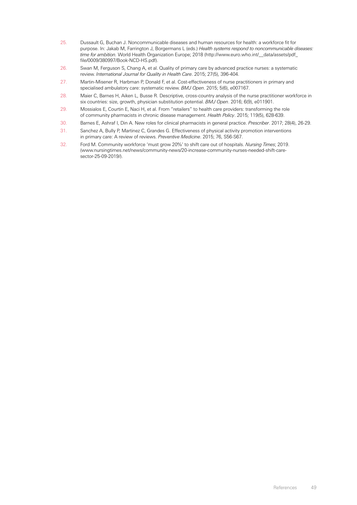- <span id="page-50-0"></span>25. Dussault G, Buchan J. Noncommunicable diseases and human resources for health: a workforce fit for purpose. In: Jakab M, Farrington J, Borgermans L (eds.) *Health systems respond to noncommunicable diseases: time for ambition.* World Health Organization Europe; 2018 [\(http://www.euro.who.int/\\_\\_data/assets/pdf\\_](http://www.euro.who.int/__data/assets/pdf_file/0009/380997/Book-NCD-HS.pdf) [file/0009/380997/Book-NCD-HS.pdf](http://www.euro.who.int/__data/assets/pdf_file/0009/380997/Book-NCD-HS.pdf)).
- <span id="page-50-1"></span>26. Swan M, Ferguson S, Chang A, et al. Quality of primary care by advanced practice nurses: a systematic review. *International Journal for Quality in Health Care*. 2015; 27(5), 396-404.
- <span id="page-50-2"></span>27. Martin-Misener R, Harbman P, Donald F, et al. Cost-effectiveness of nurse practitioners in primary and specialised ambulatory care: systematic review. *BMJ Open*. 2015; 5(6), e007167.
- <span id="page-50-3"></span>28. Maier C, Barnes H, Aiken L, Busse R. Descriptive, cross-country analysis of the nurse practitioner workforce in six countries: size, growth, physician substitution potential. *BMJ Open*. 2016; 6(9), e011901.
- <span id="page-50-4"></span>29. Mossialos E, Courtin E, Naci H, et al. From "retailers" to health care providers: transforming the role of community pharmacists in chronic disease management. *Health Policy*. 2015; 119(5), 628-639.
- <span id="page-50-5"></span>30. Barnes E, Ashraf I, Din A. New roles for clinical pharmacists in general practice. *Prescriber*. 2017; 28(4), 26-29.
- <span id="page-50-6"></span>31. Sanchez A, Bully P, Martinez C, Grandes G. Effectiveness of physical activity promotion interventions in primary care: A review of reviews. *Preventive Medicine*. 2015; 76, S56-S67.
- <span id="page-50-7"></span>32. Ford M. Community workforce 'must grow 20%' to shift care out of hospitals. *Nursing Times*; 2019. [\(www.nursingtimes.net/news/community-news/20-increase-community-nurses-needed-shift-care](https://www.nursingtimes.net/news/community-news/20-increase-community-nurses-needed-shift-care-sector-25-09-2019/)[sector-25-09-2019/](https://www.nursingtimes.net/news/community-news/20-increase-community-nurses-needed-shift-care-sector-25-09-2019/)).